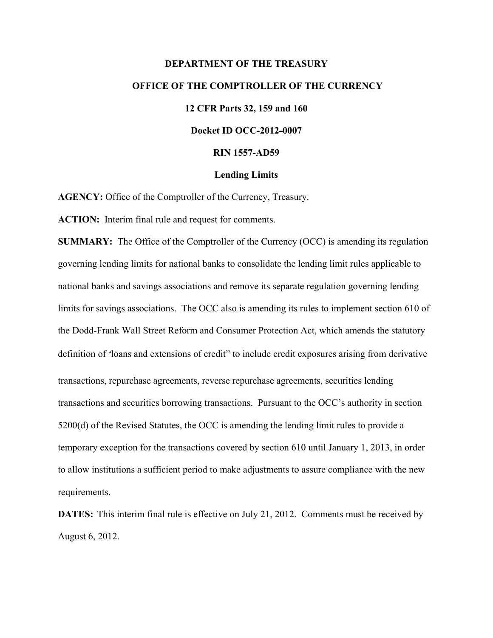# **DEPARTMENT OF THE TREASURY OFFICE OF THE COMPTROLLER OF THE CURRENCY 12 CFR Parts 32, 159 and 160 Docket ID OCC-2012-0007 RIN 1557-AD59**

# **Lending Limits**

**AGENCY:** Office of the Comptroller of the Currency, Treasury.

**ACTION:** Interim final rule and request for comments.

**SUMMARY:** The Office of the Comptroller of the Currency (OCC) is amending its regulation governing lending limits for national banks to consolidate the lending limit rules applicable to national banks and savings associations and remove its separate regulation governing lending limits for savings associations. The OCC also is amending its rules to implement section 610 of the Dodd-Frank Wall Street Reform and Consumer Protection Act, which amends the statutory definition of "loans and extensions of credit" to include credit exposures arising from derivative transactions, repurchase agreements, reverse repurchase agreements, securities lending transactions and securities borrowing transactions. Pursuant to the OCC's authority in section 5200(d) of the Revised Statutes, the OCC is amending the lending limit rules to provide a temporary exception for the transactions covered by section 610 until January 1, 2013, in order to allow institutions a sufficient period to make adjustments to assure compliance with the new requirements.

**DATES:** This interim final rule is effective on July 21, 2012. Comments must be received by August 6, 2012.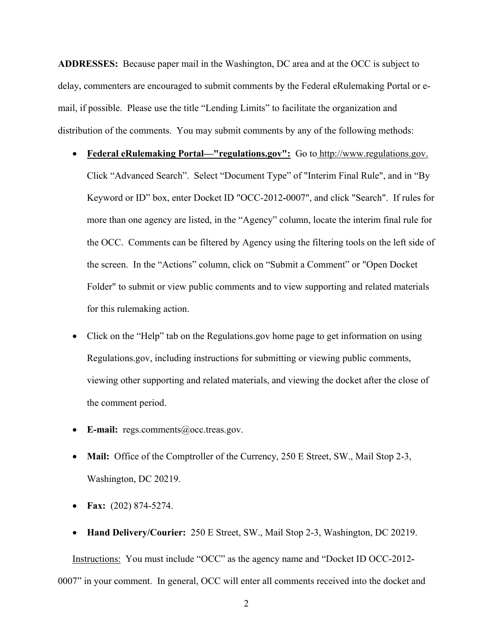**ADDRESSES:** Because paper mail in the Washington, DC area and at the OCC is subject to delay, commenters are encouraged to submit comments by the Federal eRulemaking Portal or email, if possible. Please use the title "Lending Limits" to facilitate the organization and distribution of the comments. You may submit comments by any of the following methods:

- **Federal eRulemaking Portal—"regulations.gov":** Go to http://www.regulations.gov. Click "Advanced Search". Select "Document Type" of "Interim Final Rule", and in "By Keyword or ID" box, enter Docket ID "OCC-2012-0007", and click "Search". If rules for more than one agency are listed, in the "Agency" column, locate the interim final rule for the OCC. Comments can be filtered by Agency using the filtering tools on the left side of the screen. In the "Actions" column, click on "Submit a Comment" or "Open Docket Folder" to submit or view public comments and to view supporting and related materials for this rulemaking action.
- Click on the "Help" tab on the Regulations.gov home page to get information on using Regulations.gov, including instructions for submitting or viewing public comments, viewing other supporting and related materials, and viewing the docket after the close of the comment period.
- E-mail: regs.comments@occ.treas.gov.
- Mail: Office of the Comptroller of the Currency, 250 E Street, SW., Mail Stop 2-3, Washington, DC 20219.
- **Fax:** (202) 874-5274.
- **Hand Delivery/Courier:** 250 E Street, SW., Mail Stop 2-3, Washington, DC 20219.

0007" in your comment. In general, OCC will enter all comments received into the docket and Instructions: You must include "OCC" as the agency name and "Docket ID OCC-2012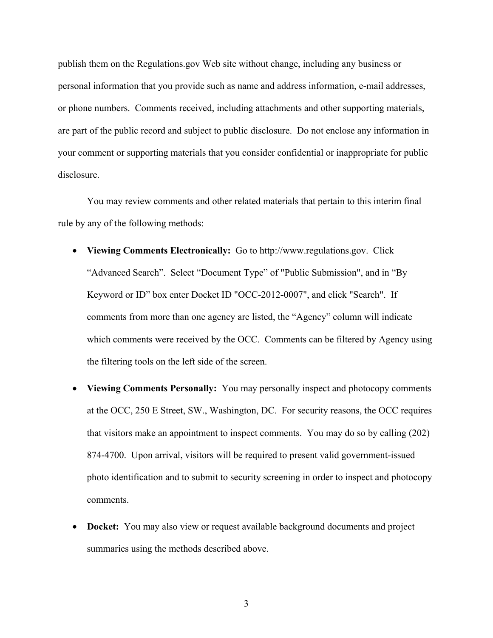publish them on the Regulations.gov Web site without change, including any business or personal information that you provide such as name and address information, e-mail addresses, or phone numbers. Comments received, including attachments and other supporting materials, are part of the public record and subject to public disclosure. Do not enclose any information in your comment or supporting materials that you consider confidential or inappropriate for public disclosure.

You may review comments and other related materials that pertain to this interim final rule by any of the following methods:

- **Viewing Comments Electronically:** Go to http://www.regulations.gov. Click "Advanced Search". Select "Document Type" of "Public Submission", and in "By Keyword or ID" box enter Docket ID "OCC-2012-0007", and click "Search". If comments from more than one agency are listed, the "Agency" column will indicate which comments were received by the OCC. Comments can be filtered by Agency using the filtering tools on the left side of the screen.
- **Viewing Comments Personally:** You may personally inspect and photocopy comments at the OCC, 250 E Street, SW., Washington, DC. For security reasons, the OCC requires that visitors make an appointment to inspect comments. You may do so by calling (202) 874-4700. Upon arrival, visitors will be required to present valid government-issued photo identification and to submit to security screening in order to inspect and photocopy comments.
- **Docket:** You may also view or request available background documents and project summaries using the methods described above.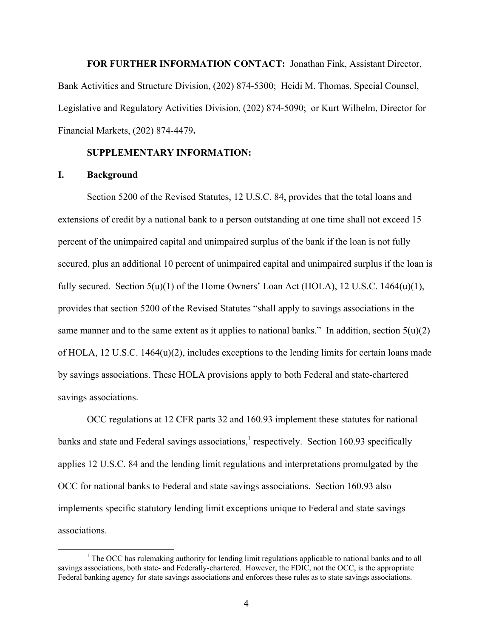**FOR FURTHER INFORMATION CONTACT:** Jonathan Fink, Assistant Director, Bank Activities and Structure Division, (202) 874-5300; Heidi M. Thomas, Special Counsel, Legislative and Regulatory Activities Division, (202) 874-5090; or Kurt Wilhelm, Director for Financial Markets, (202) 874-4479**.** 

#### **SUPPLEMENTARY INFORMATION:**

## **I. Background**

-

Section 5200 of the Revised Statutes, 12 U.S.C. 84, provides that the total loans and extensions of credit by a national bank to a person outstanding at one time shall not exceed 15 percent of the unimpaired capital and unimpaired surplus of the bank if the loan is not fully secured, plus an additional 10 percent of unimpaired capital and unimpaired surplus if the loan is fully secured. Section  $5(u)(1)$  of the Home Owners' Loan Act (HOLA), 12 U.S.C. 1464 $(u)(1)$ , provides that section 5200 of the Revised Statutes "shall apply to savings associations in the same manner and to the same extent as it applies to national banks." In addition, section  $5(u)(2)$ of HOLA, 12 U.S.C. 1464(u)(2), includes exceptions to the lending limits for certain loans made by savings associations. These HOLA provisions apply to both Federal and state-chartered savings associations.

OCC regulations at 12 CFR parts 32 and 160.93 implement these statutes for national banks and state and Federal savings associations,<sup>1</sup> respectively. Section 160.93 specifically applies 12 U.S.C. 84 and the lending limit regulations and interpretations promulgated by the OCC for national banks to Federal and state savings associations. Section 160.93 also implements specific statutory lending limit exceptions unique to Federal and state savings associations.

 savings associations, both state- and Federally-chartered. However, the FDIC, not the OCC, is the appropriate <sup>1</sup> The OCC has rulemaking authority for lending limit regulations applicable to national banks and to all Federal banking agency for state savings associations and enforces these rules as to state savings associations.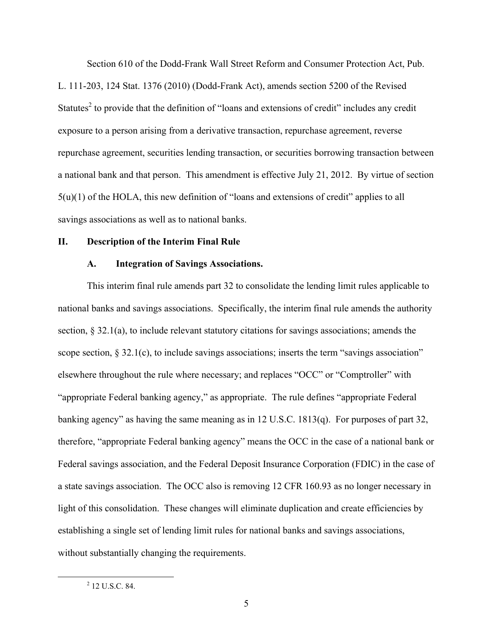Section 610 of the Dodd-Frank Wall Street Reform and Consumer Protection Act, Pub. L. 111-203, 124 Stat. 1376 (2010) (Dodd-Frank Act), amends section 5200 of the Revised Statutes<sup>2</sup> to provide that the definition of "loans and extensions of credit" includes any credit exposure to a person arising from a derivative transaction, repurchase agreement, reverse repurchase agreement, securities lending transaction, or securities borrowing transaction between a national bank and that person. This amendment is effective July 21, 2012. By virtue of section 5(u)(1) of the HOLA, this new definition of "loans and extensions of credit" applies to all savings associations as well as to national banks.

#### **II. Description of the Interim Final Rule**

#### **A. Integration of Savings Associations.**

This interim final rule amends part 32 to consolidate the lending limit rules applicable to national banks and savings associations. Specifically, the interim final rule amends the authority section, § 32.1(a), to include relevant statutory citations for savings associations; amends the scope section, § 32.1(c), to include savings associations; inserts the term "savings association" elsewhere throughout the rule where necessary; and replaces "OCC" or "Comptroller" with "appropriate Federal banking agency," as appropriate. The rule defines "appropriate Federal banking agency" as having the same meaning as in 12 U.S.C. 1813(q). For purposes of part 32, therefore, "appropriate Federal banking agency" means the OCC in the case of a national bank or Federal savings association, and the Federal Deposit Insurance Corporation (FDIC) in the case of a state savings association. The OCC also is removing 12 CFR 160.93 as no longer necessary in light of this consolidation. These changes will eliminate duplication and create efficiencies by establishing a single set of lending limit rules for national banks and savings associations, without substantially changing the requirements.

 $\overline{a}$ 

 $^{2}$  12 U.S.C. 84.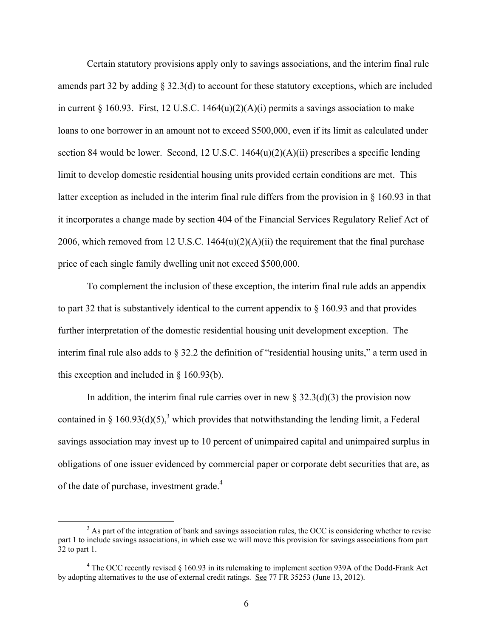Certain statutory provisions apply only to savings associations, and the interim final rule amends part 32 by adding § 32.3(d) to account for these statutory exceptions, which are included in current  $\S$  160.93. First, 12 U.S.C. 1464(u)(2)(A)(i) permits a savings association to make loans to one borrower in an amount not to exceed \$500,000, even if its limit as calculated under section 84 would be lower. Second, 12 U.S.C. 1464(u)(2)(A)(ii) prescribes a specific lending limit to develop domestic residential housing units provided certain conditions are met. This latter exception as included in the interim final rule differs from the provision in § 160.93 in that it incorporates a change made by section 404 of the Financial Services Regulatory Relief Act of 2006, which removed from 12 U.S.C.  $1464(u)(2)(A)(ii)$  the requirement that the final purchase price of each single family dwelling unit not exceed \$500,000.

To complement the inclusion of these exception, the interim final rule adds an appendix to part 32 that is substantively identical to the current appendix to  $\S$  160.93 and that provides further interpretation of the domestic residential housing unit development exception. The interim final rule also adds to § 32.2 the definition of "residential housing units," a term used in this exception and included in § 160.93(b).

of the date of purchase, investment grade.<sup>4</sup> In addition, the interim final rule carries over in new  $\S 32.3(d)(3)$  the provision now contained in § 160.93(d)(5),<sup>3</sup> which provides that notwithstanding the lending limit, a Federal savings association may invest up to 10 percent of unimpaired capital and unimpaired surplus in obligations of one issuer evidenced by commercial paper or corporate debt securities that are, as

 $\overline{a}$ 

 32 to part 1. <sup>3</sup> As part of the integration of bank and savings association rules, the OCC is considering whether to revise part 1 to include savings associations, in which case we will move this provision for savings associations from part

<sup>&</sup>lt;sup>4</sup> The OCC recently revised § 160.93 in its rulemaking to implement section 939A of the Dodd-Frank Act by adopting alternatives to the use of external credit ratings. See 77 FR 35253 (June 13, 2012).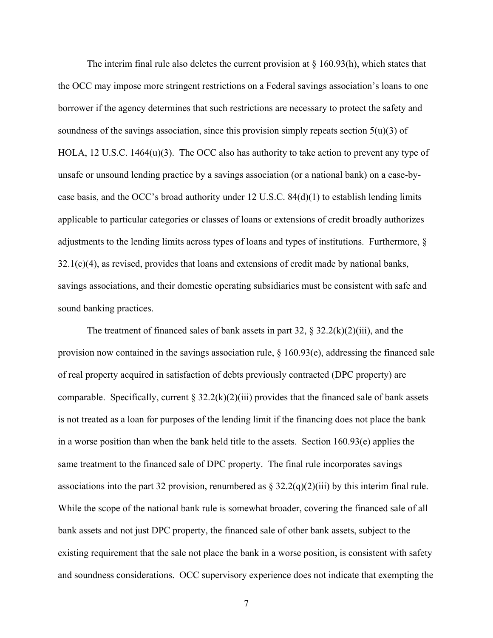The interim final rule also deletes the current provision at  $\S$  160.93(h), which states that the OCC may impose more stringent restrictions on a Federal savings association's loans to one borrower if the agency determines that such restrictions are necessary to protect the safety and soundness of the savings association, since this provision simply repeats section  $5(u)(3)$  of HOLA, 12 U.S.C. 1464(u)(3). The OCC also has authority to take action to prevent any type of unsafe or unsound lending practice by a savings association (or a national bank) on a case-bycase basis, and the OCC's broad authority under 12 U.S.C.  $84(d)(1)$  to establish lending limits applicable to particular categories or classes of loans or extensions of credit broadly authorizes adjustments to the lending limits across types of loans and types of institutions. Furthermore, §  $32.1(c)(4)$ , as revised, provides that loans and extensions of credit made by national banks, savings associations, and their domestic operating subsidiaries must be consistent with safe and sound banking practices.

The treatment of financed sales of bank assets in part 32,  $\S 32.2(k)(2)(iii)$ , and the provision now contained in the savings association rule, § 160.93(e), addressing the financed sale of real property acquired in satisfaction of debts previously contracted (DPC property) are comparable. Specifically, current  $\S 32.2(k)(2)(iii)$  provides that the financed sale of bank assets is not treated as a loan for purposes of the lending limit if the financing does not place the bank in a worse position than when the bank held title to the assets. Section 160.93(e) applies the same treatment to the financed sale of DPC property. The final rule incorporates savings associations into the part 32 provision, renumbered as  $\S 32.2(q)(2)(iii)$  by this interim final rule. While the scope of the national bank rule is somewhat broader, covering the financed sale of all bank assets and not just DPC property, the financed sale of other bank assets, subject to the existing requirement that the sale not place the bank in a worse position, is consistent with safety and soundness considerations. OCC supervisory experience does not indicate that exempting the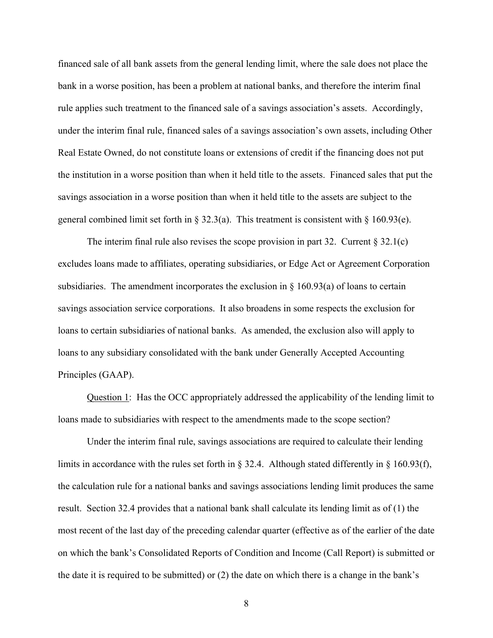financed sale of all bank assets from the general lending limit, where the sale does not place the bank in a worse position, has been a problem at national banks, and therefore the interim final rule applies such treatment to the financed sale of a savings association's assets. Accordingly, under the interim final rule, financed sales of a savings association's own assets, including Other Real Estate Owned, do not constitute loans or extensions of credit if the financing does not put the institution in a worse position than when it held title to the assets. Financed sales that put the savings association in a worse position than when it held title to the assets are subject to the general combined limit set forth in § 32.3(a). This treatment is consistent with § 160.93(e).

The interim final rule also revises the scope provision in part 32. Current  $\S 32.1(c)$ excludes loans made to affiliates, operating subsidiaries, or Edge Act or Agreement Corporation subsidiaries. The amendment incorporates the exclusion in  $\S$  160.93(a) of loans to certain savings association service corporations. It also broadens in some respects the exclusion for loans to certain subsidiaries of national banks. As amended, the exclusion also will apply to loans to any subsidiary consolidated with the bank under Generally Accepted Accounting Principles (GAAP).

Question 1: Has the OCC appropriately addressed the applicability of the lending limit to loans made to subsidiaries with respect to the amendments made to the scope section?

Under the interim final rule, savings associations are required to calculate their lending limits in accordance with the rules set forth in § 32.4. Although stated differently in § 160.93(f), the calculation rule for a national banks and savings associations lending limit produces the same result. Section 32.4 provides that a national bank shall calculate its lending limit as of (1) the most recent of the last day of the preceding calendar quarter (effective as of the earlier of the date on which the bank's Consolidated Reports of Condition and Income (Call Report) is submitted or the date it is required to be submitted) or (2) the date on which there is a change in the bank's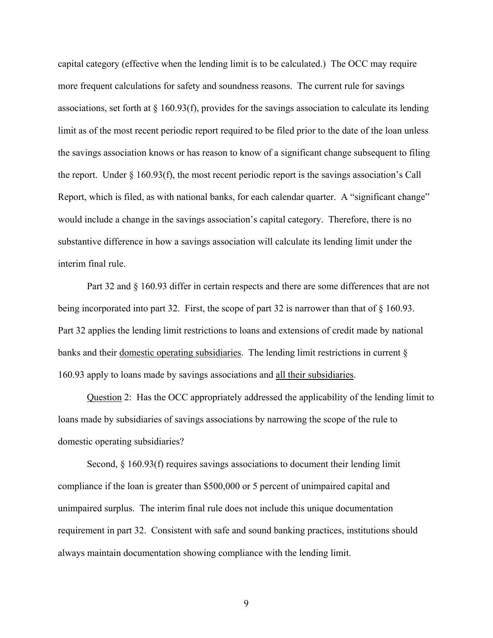capital category (effective when the lending limit is to be calculated.) The OCC may require more frequent calculations for safety and soundness reasons. The current rule for savings associations, set forth at § 160.93(f), provides for the savings association to calculate its lending limit as of the most recent periodic report required to be filed prior to the date of the loan unless the savings association knows or has reason to know of a significant change subsequent to filing the report. Under § 160.93(f), the most recent periodic report is the savings association's Call Report, which is filed, as with national banks, for each calendar quarter. A "significant change" would include a change in the savings association's capital category. Therefore, there is no substantive difference in how a savings association will calculate its lending limit under the interim final rule.

Part 32 and § 160.93 differ in certain respects and there are some differences that are not being incorporated into part 32. First, the scope of part 32 is narrower than that of  $\S$  160.93. Part 32 applies the lending limit restrictions to loans and extensions of credit made by national banks and their domestic operating subsidiaries. The lending limit restrictions in current § 160.93 apply to loans made by savings associations and all their subsidiaries.

Question 2: Has the OCC appropriately addressed the applicability of the lending limit to loans made by subsidiaries of savings associations by narrowing the scope of the rule to domestic operating subsidiaries?

Second, § 160.93(f) requires savings associations to document their lending limit compliance if the loan is greater than \$500,000 or 5 percent of unimpaired capital and unimpaired surplus. The interim final rule does not include this unique documentation requirement in part 32. Consistent with safe and sound banking practices, institutions should always maintain documentation showing compliance with the lending limit.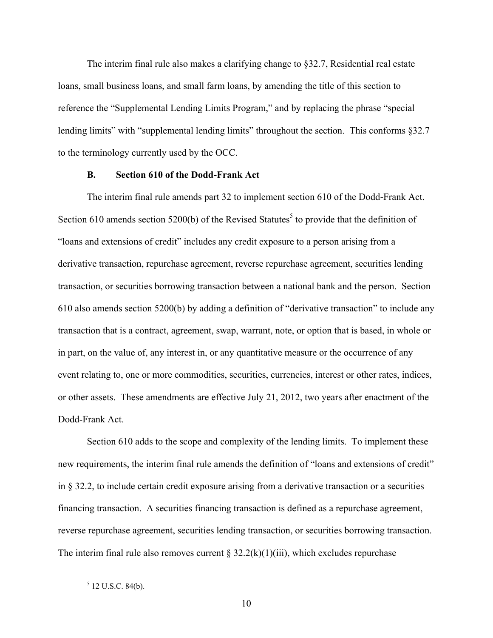The interim final rule also makes a clarifying change to §32.7, Residential real estate loans, small business loans, and small farm loans, by amending the title of this section to reference the "Supplemental Lending Limits Program," and by replacing the phrase "special lending limits" with "supplemental lending limits" throughout the section. This conforms §32.7 to the terminology currently used by the OCC.

#### **B. Section 610 of the Dodd-Frank Act**

The interim final rule amends part 32 to implement section 610 of the Dodd-Frank Act. Section 610 amends section 5200(b) of the Revised Statutes<sup>5</sup> to provide that the definition of "loans and extensions of credit" includes any credit exposure to a person arising from a derivative transaction, repurchase agreement, reverse repurchase agreement, securities lending transaction, or securities borrowing transaction between a national bank and the person. Section 610 also amends section 5200(b) by adding a definition of "derivative transaction" to include any transaction that is a contract, agreement, swap, warrant, note, or option that is based, in whole or in part, on the value of, any interest in, or any quantitative measure or the occurrence of any event relating to, one or more commodities, securities, currencies, interest or other rates, indices, or other assets. These amendments are effective July 21, 2012, two years after enactment of the Dodd-Frank Act.

Section 610 adds to the scope and complexity of the lending limits. To implement these new requirements, the interim final rule amends the definition of "loans and extensions of credit" in § 32.2, to include certain credit exposure arising from a derivative transaction or a securities financing transaction. A securities financing transaction is defined as a repurchase agreement, reverse repurchase agreement, securities lending transaction, or securities borrowing transaction. The interim final rule also removes current  $\S 32.2(k)(1)(iii)$ , which excludes repurchase

 $\overline{a}$ 

 $5$  12 U.S.C. 84(b).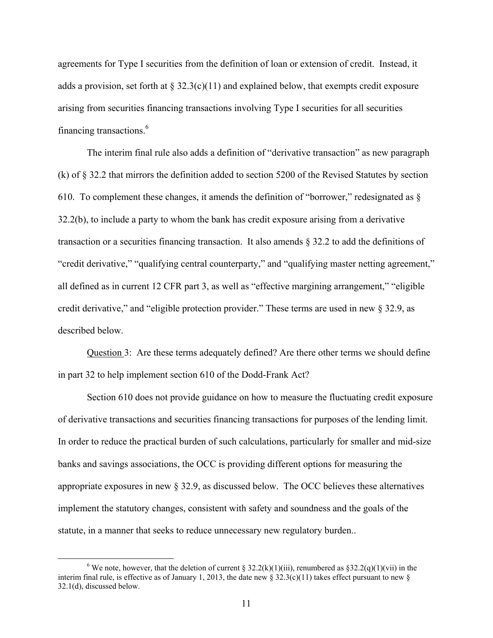agreements for Type I securities from the definition of loan or extension of credit. Instead, it adds a provision, set forth at  $\S 32.3(c)(11)$  and explained below, that exempts credit exposure arising from securities financing transactions involving Type I securities for all securities financing transactions.6

The interim final rule also adds a definition of "derivative transaction" as new paragraph (k) of § 32.2 that mirrors the definition added to section 5200 of the Revised Statutes by section 610. To complement these changes, it amends the definition of "borrower," redesignated as  $\S$ 32.2(b), to include a party to whom the bank has credit exposure arising from a derivative transaction or a securities financing transaction. It also amends § 32.2 to add the definitions of "credit derivative," "qualifying central counterparty," and "qualifying master netting agreement," all defined as in current 12 CFR part 3, as well as "effective margining arrangement," "eligible credit derivative," and "eligible protection provider." These terms are used in new § 32.9, as described below.

Question 3: Are these terms adequately defined? Are there other terms we should define in part 32 to help implement section 610 of the Dodd-Frank Act?

Section 610 does not provide guidance on how to measure the fluctuating credit exposure of derivative transactions and securities financing transactions for purposes of the lending limit. In order to reduce the practical burden of such calculations, particularly for smaller and mid-size banks and savings associations, the OCC is providing different options for measuring the appropriate exposures in new § 32.9, as discussed below. The OCC believes these alternatives implement the statutory changes, consistent with safety and soundness and the goals of the statute, in a manner that seeks to reduce unnecessary new regulatory burden..

 $\overline{a}$ 

<sup>&</sup>lt;sup>6</sup> We note, however, that the deletion of current § 32.2(k)(1)(iii), renumbered as §32.2(q)(1)(vii) in the interim final rule, is effective as of January 1, 2013, the date new § 32.3(c)(11) takes effect pursuant to new § 32.1(d), discussed below.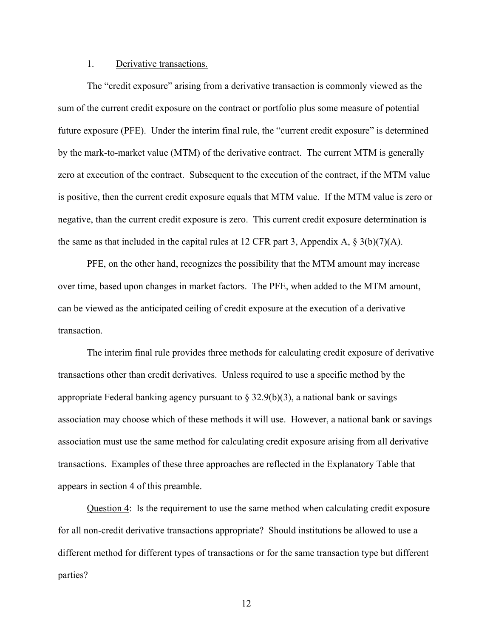#### 1. Derivative transactions.

The "credit exposure" arising from a derivative transaction is commonly viewed as the sum of the current credit exposure on the contract or portfolio plus some measure of potential future exposure (PFE). Under the interim final rule, the "current credit exposure" is determined by the mark-to-market value (MTM) of the derivative contract. The current MTM is generally zero at execution of the contract. Subsequent to the execution of the contract, if the MTM value is positive, then the current credit exposure equals that MTM value. If the MTM value is zero or negative, than the current credit exposure is zero. This current credit exposure determination is the same as that included in the capital rules at 12 CFR part 3, Appendix A,  $\S 3(b)(7)(A)$ .

over time, based upon changes in market factors. The PFE, when added to the MTM amount, **transaction** PFE, on the other hand, recognizes the possibility that the MTM amount may increase can be viewed as the anticipated ceiling of credit exposure at the execution of a derivative

The interim final rule provides three methods for calculating credit exposure of derivative transactions other than credit derivatives. Unless required to use a specific method by the appropriate Federal banking agency pursuant to  $\S 32.9(b)(3)$ , a national bank or savings association may choose which of these methods it will use. However, a national bank or savings association must use the same method for calculating credit exposure arising from all derivative transactions. Examples of these three approaches are reflected in the Explanatory Table that appears in section 4 of this preamble.

Question 4: Is the requirement to use the same method when calculating credit exposure for all non-credit derivative transactions appropriate? Should institutions be allowed to use a different method for different types of transactions or for the same transaction type but different parties?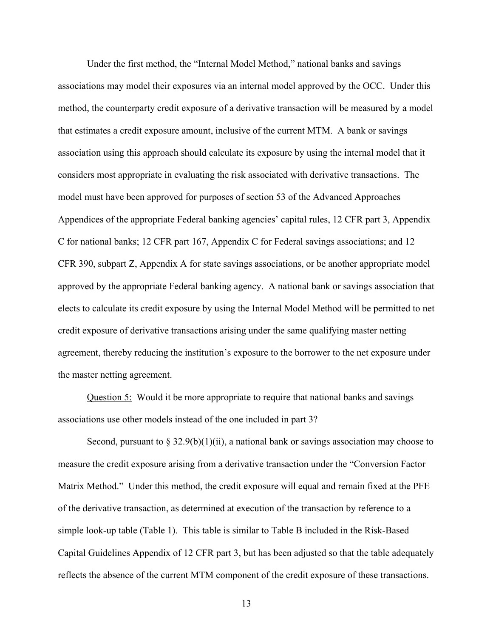Under the first method, the "Internal Model Method," national banks and savings associations may model their exposures via an internal model approved by the OCC. Under this method, the counterparty credit exposure of a derivative transaction will be measured by a model that estimates a credit exposure amount, inclusive of the current MTM. A bank or savings association using this approach should calculate its exposure by using the internal model that it considers most appropriate in evaluating the risk associated with derivative transactions. The model must have been approved for purposes of section 53 of the Advanced Approaches Appendices of the appropriate Federal banking agencies' capital rules, 12 CFR part 3, Appendix C for national banks; 12 CFR part 167, Appendix C for Federal savings associations; and 12 CFR 390, subpart Z, Appendix A for state savings associations, or be another appropriate model approved by the appropriate Federal banking agency. A national bank or savings association that elects to calculate its credit exposure by using the Internal Model Method will be permitted to net credit exposure of derivative transactions arising under the same qualifying master netting agreement, thereby reducing the institution's exposure to the borrower to the net exposure under the master netting agreement.

associations use other models instead of the one included in part 3? Question 5: Would it be more appropriate to require that national banks and savings

Second, pursuant to § 32.9(b)(1)(ii), a national bank or savings association may choose to measure the credit exposure arising from a derivative transaction under the "Conversion Factor Matrix Method." Under this method, the credit exposure will equal and remain fixed at the PFE of the derivative transaction, as determined at execution of the transaction by reference to a simple look-up table (Table 1). This table is similar to Table B included in the Risk-Based Capital Guidelines Appendix of 12 CFR part 3, but has been adjusted so that the table adequately reflects the absence of the current MTM component of the credit exposure of these transactions.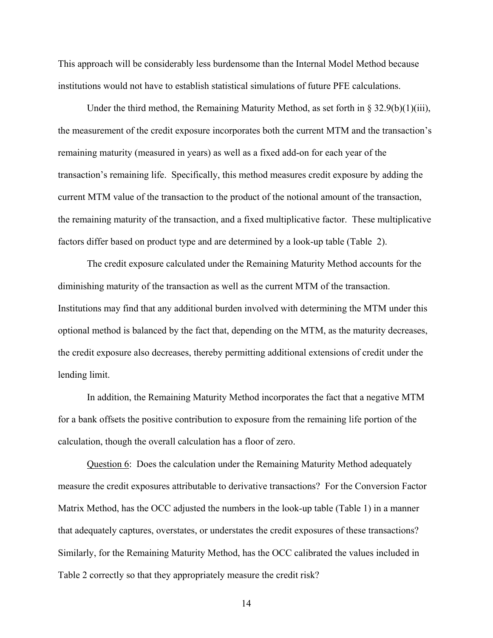This approach will be considerably less burdensome than the Internal Model Method because institutions would not have to establish statistical simulations of future PFE calculations.

Under the third method, the Remaining Maturity Method, as set forth in § 32.9(b)(1)(iii), the measurement of the credit exposure incorporates both the current MTM and the transaction's remaining maturity (measured in years) as well as a fixed add-on for each year of the transaction's remaining life. Specifically, this method measures credit exposure by adding the current MTM value of the transaction to the product of the notional amount of the transaction, the remaining maturity of the transaction, and a fixed multiplicative factor. These multiplicative factors differ based on product type and are determined by a look-up table (Table 2).

diminishing maturity of the transaction as well as the current MTM of the transaction. The credit exposure calculated under the Remaining Maturity Method accounts for the Institutions may find that any additional burden involved with determining the MTM under this optional method is balanced by the fact that, depending on the MTM, as the maturity decreases, the credit exposure also decreases, thereby permitting additional extensions of credit under the lending limit.

In addition, the Remaining Maturity Method incorporates the fact that a negative MTM for a bank offsets the positive contribution to exposure from the remaining life portion of the calculation, though the overall calculation has a floor of zero.

Question 6: Does the calculation under the Remaining Maturity Method adequately measure the credit exposures attributable to derivative transactions? For the Conversion Factor Matrix Method, has the OCC adjusted the numbers in the look-up table (Table 1) in a manner that adequately captures, overstates, or understates the credit exposures of these transactions? Similarly, for the Remaining Maturity Method, has the OCC calibrated the values included in Table 2 correctly so that they appropriately measure the credit risk?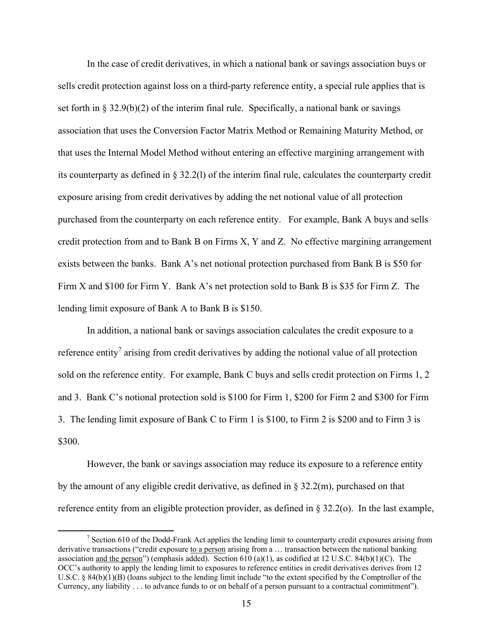In the case of credit derivatives, in which a national bank or savings association buys or sells credit protection against loss on a third-party reference entity, a special rule applies that is set forth in § 32.9(b)(2) of the interim final rule. Specifically, a national bank or savings association that uses the Conversion Factor Matrix Method or Remaining Maturity Method, or that uses the Internal Model Method without entering an effective margining arrangement with its counterparty as defined in § 32.2(l) of the interim final rule, calculates the counterparty credit exposure arising from credit derivatives by adding the net notional value of all protection purchased from the counterparty on each reference entity. For example, Bank A buys and sells credit protection from and to Bank B on Firms X, Y and Z. No effective margining arrangement exists between the banks. Bank A's net notional protection purchased from Bank B is \$50 for Firm X and \$100 for Firm Y. Bank A's net protection sold to Bank B is \$35 for Firm Z. The lending limit exposure of Bank A to Bank B is \$150.

In addition, a national bank or savings association calculates the credit exposure to a reference entity<sup>7</sup> arising from credit derivatives by adding the notional value of all protection sold on the reference entity. For example, Bank C buys and sells credit protection on Firms 1, 2 and 3. Bank C's notional protection sold is \$100 for Firm 1, \$200 for Firm 2 and \$300 for Firm 3. The lending limit exposure of Bank C to Firm 1 is \$100, to Firm 2 is \$200 and to Firm 3 is \$300.

However, the bank or savings association may reduce its exposure to a reference entity by the amount of any eligible credit derivative, as defined in § 32.2(m), purchased on that reference entity from an eligible protection provider, as defined in § 32.2(o). In the last example,

-

 $7$  Section 610 of the Dodd-Frank Act applies the lending limit to counterparty credit exposures arising from derivative transactions ("credit exposure to a person arising from a ... transaction between the national banking association and the person") (emphasis added). Section 610 (a)(1), as codified at 12 U.S.C. 84(b)(1)(C). The OCC's authority to apply the lending limit to exposures to reference entities in credit derivatives derives from 12 U.S.C. § 84(b)(1)(B) (loans subject to the lending limit include "to the extent specified by the Comptroller of the Currency, any liability . . . to advance funds to or on behalf of a person pursuant to a contractual commitment").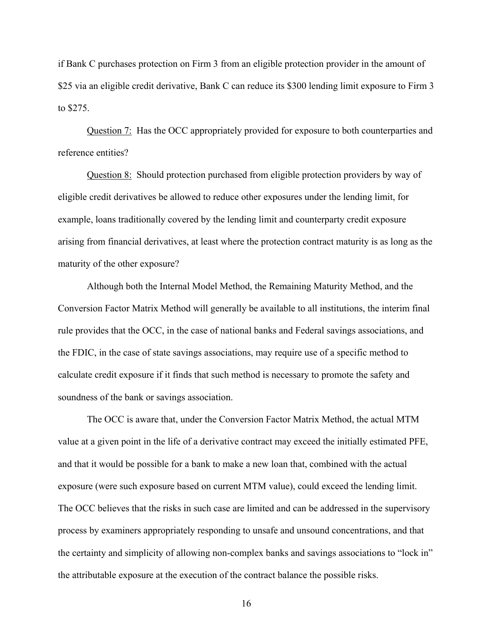if Bank C purchases protection on Firm 3 from an eligible protection provider in the amount of \$25 via an eligible credit derivative, Bank C can reduce its \$300 lending limit exposure to Firm 3 to \$275.

Question 7: Has the OCC appropriately provided for exposure to both counterparties and reference entities?

Question 8: Should protection purchased from eligible protection providers by way of eligible credit derivatives be allowed to reduce other exposures under the lending limit, for example, loans traditionally covered by the lending limit and counterparty credit exposure arising from financial derivatives, at least where the protection contract maturity is as long as the maturity of the other exposure?

Although both the Internal Model Method, the Remaining Maturity Method, and the Conversion Factor Matrix Method will generally be available to all institutions, the interim final rule provides that the OCC, in the case of national banks and Federal savings associations, and the FDIC, in the case of state savings associations, may require use of a specific method to calculate credit exposure if it finds that such method is necessary to promote the safety and soundness of the bank or savings association.

The OCC is aware that, under the Conversion Factor Matrix Method, the actual MTM value at a given point in the life of a derivative contract may exceed the initially estimated PFE, and that it would be possible for a bank to make a new loan that, combined with the actual exposure (were such exposure based on current MTM value), could exceed the lending limit. The OCC believes that the risks in such case are limited and can be addressed in the supervisory process by examiners appropriately responding to unsafe and unsound concentrations, and that the certainty and simplicity of allowing non-complex banks and savings associations to "lock in" the attributable exposure at the execution of the contract balance the possible risks.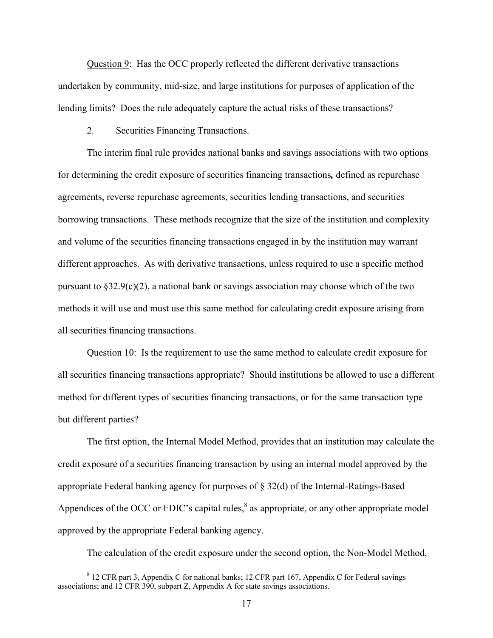Question 9: Has the OCC properly reflected the different derivative transactions undertaken by community, mid-size, and large institutions for purposes of application of the lending limits? Does the rule adequately capture the actual risks of these transactions?

#### 2. Securities Financing Transactions.

The interim final rule provides national banks and savings associations with two options for determining the credit exposure of securities financing transactions*,* defined as repurchase agreements, reverse repurchase agreements, securities lending transactions, and securities borrowing transactions. These methods recognize that the size of the institution and complexity and volume of the securities financing transactions engaged in by the institution may warrant different approaches. As with derivative transactions, unless required to use a specific method pursuant to  $\S 32.9(c)(2)$ , a national bank or savings association may choose which of the two methods it will use and must use this same method for calculating credit exposure arising from all securities financing transactions.

 all securities financing transactions appropriate? Should institutions be allowed to use a different Question 10: Is the requirement to use the same method to calculate credit exposure for method for different types of securities financing transactions, or for the same transaction type but different parties?

The first option, the Internal Model Method, provides that an institution may calculate the credit exposure of a securities financing transaction by using an internal model approved by the appropriate Federal banking agency for purposes of § 32(d) of the Internal-Ratings-Based Appendices of the OCC or FDIC's capital rules, $<sup>8</sup>$  as appropriate, or any other appropriate model</sup> approved by the appropriate Federal banking agency.

The calculation of the credit exposure under the second option, the Non-Model Method,

<u>.</u>

<sup>&</sup>lt;sup>8</sup> 12 CFR part 3, Appendix C for national banks; 12 CFR part 167, Appendix C for Federal savings associations; and 12 CFR 390, subpart Z, Appendix A for state savings associations.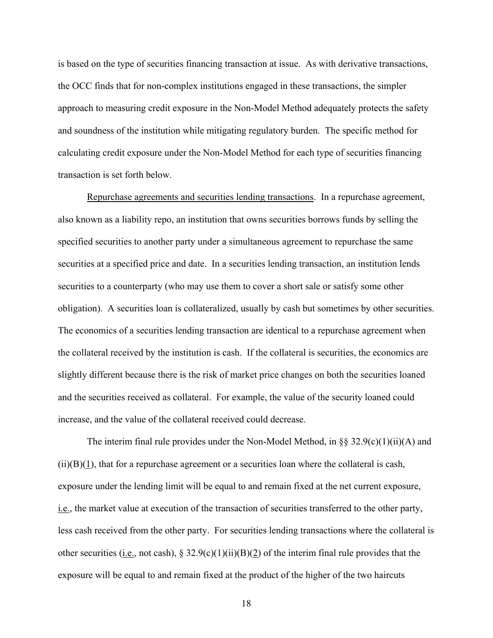is based on the type of securities financing transaction at issue. As with derivative transactions, the OCC finds that for non-complex institutions engaged in these transactions, the simpler approach to measuring credit exposure in the Non-Model Method adequately protects the safety and soundness of the institution while mitigating regulatory burden. The specific method for calculating credit exposure under the Non-Model Method for each type of securities financing transaction is set forth below.

Repurchase agreements and securities lending transactions. In a repurchase agreement, also known as a liability repo, an institution that owns securities borrows funds by selling the specified securities to another party under a simultaneous agreement to repurchase the same securities at a specified price and date. In a securities lending transaction, an institution lends securities to a counterparty (who may use them to cover a short sale or satisfy some other obligation). A securities loan is collateralized, usually by cash but sometimes by other securities. The economics of a securities lending transaction are identical to a repurchase agreement when the collateral received by the institution is cash. If the collateral is securities, the economics are slightly different because there is the risk of market price changes on both the securities loaned and the securities received as collateral. For example, the value of the security loaned could increase, and the value of the collateral received could decrease.

The interim final rule provides under the Non-Model Method, in  $\S$ § 32.9(c)(1)(ii)(A) and  $(ii)(B)(1)$ , that for a repurchase agreement or a securities loan where the collateral is cash, exposure under the lending limit will be equal to and remain fixed at the net current exposure, i.e., the market value at execution of the transaction of securities transferred to the other party, less cash received from the other party. For securities lending transactions where the collateral is other securities (i.e., not cash), § 32.9(c)(1)(ii)(B)(2) of the interim final rule provides that the exposure will be equal to and remain fixed at the product of the higher of the two haircuts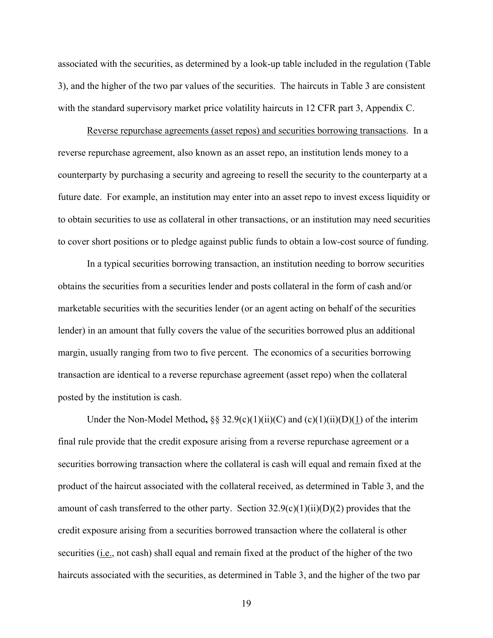associated with the securities, as determined by a look-up table included in the regulation (Table 3), and the higher of the two par values of the securities. The haircuts in Table 3 are consistent with the standard supervisory market price volatility haircuts in 12 CFR part 3, Appendix C.

Reverse repurchase agreements (asset repos) and securities borrowing transactions. In a reverse repurchase agreement, also known as an asset repo, an institution lends money to a counterparty by purchasing a security and agreeing to resell the security to the counterparty at a future date. For example, an institution may enter into an asset repo to invest excess liquidity or to obtain securities to use as collateral in other transactions, or an institution may need securities to cover short positions or to pledge against public funds to obtain a low-cost source of funding.

In a typical securities borrowing transaction, an institution needing to borrow securities obtains the securities from a securities lender and posts collateral in the form of cash and/or marketable securities with the securities lender (or an agent acting on behalf of the securities lender) in an amount that fully covers the value of the securities borrowed plus an additional margin, usually ranging from two to five percent. The economics of a securities borrowing transaction are identical to a reverse repurchase agreement (asset repo) when the collateral posted by the institution is cash.

Under the Non-Model Method,  $\S$ § 32.9(c)(1)(ii)(C) and (c)(1)(ii)(D)(1) of the interim final rule provide that the credit exposure arising from a reverse repurchase agreement or a securities borrowing transaction where the collateral is cash will equal and remain fixed at the product of the haircut associated with the collateral received, as determined in Table 3, and the amount of cash transferred to the other party. Section  $32.9(c)(1)(ii)(D)(2)$  provides that the credit exposure arising from a securities borrowed transaction where the collateral is other securities (i.e., not cash) shall equal and remain fixed at the product of the higher of the two haircuts associated with the securities, as determined in Table 3, and the higher of the two par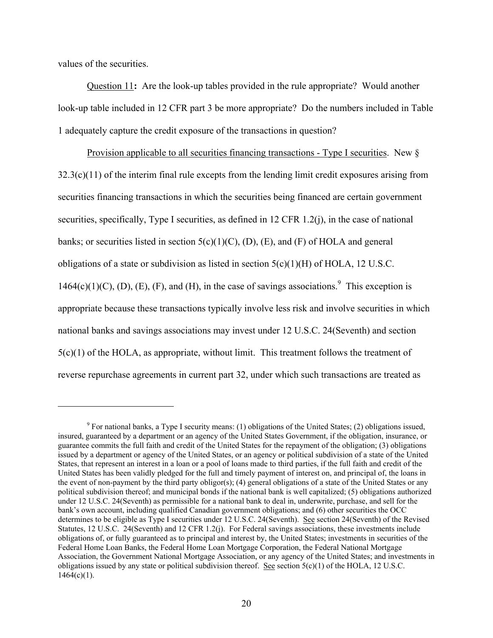values of the securities.

 $\overline{a}$ 

Question 11**:** Are the look-up tables provided in the rule appropriate? Would another look-up table included in 12 CFR part 3 be more appropriate? Do the numbers included in Table 1 adequately capture the credit exposure of the transactions in question?

 5(c)(1) of the HOLA, as appropriate, without limit. This treatment follows the treatment of Provision applicable to all securities financing transactions - Type I securities. New §  $32.3(c)(11)$  of the interim final rule excepts from the lending limit credit exposures arising from securities financing transactions in which the securities being financed are certain government securities, specifically, Type I securities, as defined in 12 CFR 1.2(j), in the case of national banks; or securities listed in section  $5(c)(1)(C)$ , (D), (E), and (F) of HOLA and general obligations of a state or subdivision as listed in section  $5(c)(1)(H)$  of HOLA, 12 U.S.C.  $1464(c)(1)(C)$ , (D), (E), (F), and (H), in the case of savings associations.<sup>9</sup> This exception is appropriate because these transactions typically involve less risk and involve securities in which national banks and savings associations may invest under 12 U.S.C. 24(Seventh) and section reverse repurchase agreements in current part 32, under which such transactions are treated as

 under 12 U.S.C. 24(Seventh) as permissible for a national bank to deal in, underwrite, purchase, and sell for the Statutes, 12 U.S.C. 24(Seventh) and 12 CFR 1.2(j). For Federal savings associations, these investments include <sup>9</sup> For national banks, a Type I security means: (1) obligations of the United States; (2) obligations issued, insured, guaranteed by a department or an agency of the United States Government, if the obligation, insurance, or guarantee commits the full faith and credit of the United States for the repayment of the obligation; (3) obligations issued by a department or agency of the United States, or an agency or political subdivision of a state of the United States, that represent an interest in a loan or a pool of loans made to third parties, if the full faith and credit of the United States has been validly pledged for the full and timely payment of interest on, and principal of, the loans in the event of non-payment by the third party obligor(s); (4) general obligations of a state of the United States or any political subdivision thereof; and municipal bonds if the national bank is well capitalized; (5) obligations authorized bank's own account, including qualified Canadian government obligations; and (6) other securities the OCC determines to be eligible as Type I securities under 12 U.S.C. 24(Seventh). See section 24(Seventh) of the Revised obligations of, or fully guaranteed as to principal and interest by, the United States; investments in securities of the Federal Home Loan Banks, the Federal Home Loan Mortgage Corporation, the Federal National Mortgage Association, the Government National Mortgage Association, or any agency of the United States; and investments in obligations issued by any state or political subdivision thereof. See section  $5(c)(1)$  of the HOLA, 12 U.S.C.  $1464(c)(1)$ .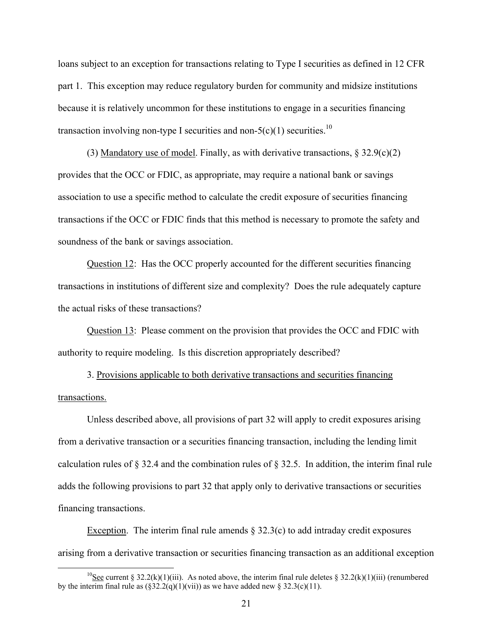loans subject to an exception for transactions relating to Type I securities as defined in 12 CFR part 1. This exception may reduce regulatory burden for community and midsize institutions because it is relatively uncommon for these institutions to engage in a securities financing transaction involving non-type I securities and non- $5(c)(1)$  securities.<sup>10</sup>

(3) Mandatory use of model. Finally, as with derivative transactions,  $\S 32.9(c)(2)$ provides that the OCC or FDIC, as appropriate, may require a national bank or savings association to use a specific method to calculate the credit exposure of securities financing transactions if the OCC or FDIC finds that this method is necessary to promote the safety and soundness of the bank or savings association.

Question 12: Has the OCC properly accounted for the different securities financing transactions in institutions of different size and complexity? Does the rule adequately capture the actual risks of these transactions?

Question 13: Please comment on the provision that provides the OCC and FDIC with authority to require modeling. Is this discretion appropriately described?

3. Provisions applicable to both derivative transactions and securities financing transactions.

Unless described above, all provisions of part 32 will apply to credit exposures arising from a derivative transaction or a securities financing transaction, including the lending limit calculation rules of § 32.4 and the combination rules of § 32.5. In addition, the interim final rule adds the following provisions to part 32 that apply only to derivative transactions or securities financing transactions.

Exception. The interim final rule amends  $\S$  32.3(c) to add intraday credit exposures arising from a derivative transaction or securities financing transaction as an additional exception

 $\overline{a}$ 

<sup>&</sup>lt;sup>10</sup>See current § 32.2(k)(1)(iii). As noted above, the interim final rule deletes § 32.2(k)(1)(iii) (renumbered by the interim final rule as  $(\frac{232.2(q)(1)(vii)}{3}$  as we have added new § 32.3(c)(11).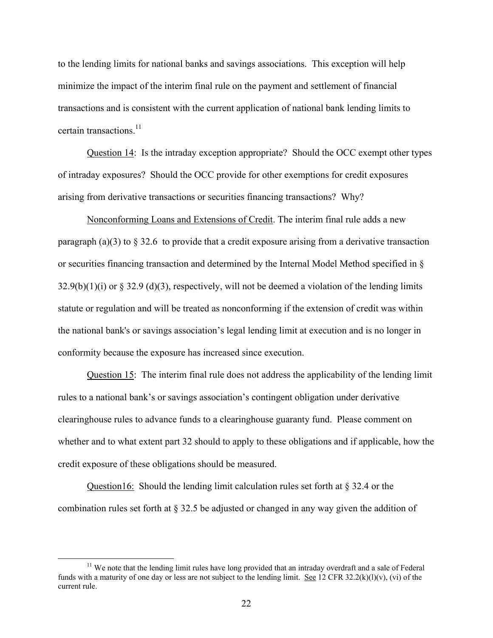certain transactions.<sup>11</sup> to the lending limits for national banks and savings associations. This exception will help minimize the impact of the interim final rule on the payment and settlement of financial transactions and is consistent with the current application of national bank lending limits to

Question 14: Is the intraday exception appropriate? Should the OCC exempt other types of intraday exposures? Should the OCC provide for other exemptions for credit exposures arising from derivative transactions or securities financing transactions? Why?

Nonconforming Loans and Extensions of Credit. The interim final rule adds a new paragraph (a)(3) to  $\S 32.6$  to provide that a credit exposure arising from a derivative transaction or securities financing transaction and determined by the Internal Model Method specified in §  $32.9(b)(1)(i)$  or § 32.9 (d)(3), respectively, will not be deemed a violation of the lending limits statute or regulation and will be treated as nonconforming if the extension of credit was within the national bank's or savings association's legal lending limit at execution and is no longer in conformity because the exposure has increased since execution.

Question 15: The interim final rule does not address the applicability of the lending limit rules to a national bank's or savings association's contingent obligation under derivative clearinghouse rules to advance funds to a clearinghouse guaranty fund. Please comment on whether and to what extent part 32 should to apply to these obligations and if applicable, how the credit exposure of these obligations should be measured.

Question16: Should the lending limit calculation rules set forth at § 32.4 or the combination rules set forth at § 32.5 be adjusted or changed in any way given the addition of

 $\overline{a}$ 

<sup>&</sup>lt;sup>11</sup> We note that the lending limit rules have long provided that an intraday overdraft and a sale of Federal funds with a maturity of one day or less are not subject to the lending limit. See 12 CFR 32.2(k)(l)(v), (vi) of the current rule.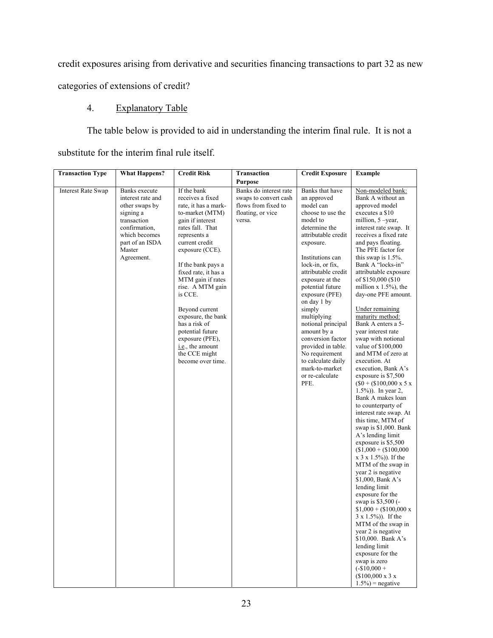credit exposures arising from derivative and securities financing transactions to part 32 as new

categories of extensions of credit?

# 4. Explanatory Table

The table below is provided to aid in understanding the interim final rule. It is not a substitute for the interim final rule itself.

| <b>Transaction Type</b>   | <b>What Happens?</b>                                                                                                                                          | <b>Credit Risk</b>                                                                                                                                                                                                                                                                                                                                                                                                                  | <b>Transaction</b>                                                                                    | <b>Credit Exposure</b>                                                                                                                                                                                                                                                                                                                                                                                                                                                 | <b>Example</b>                                                                                                                                                                                                                                                                                                                                                                                                                                                                                                                                                                                                                                                                                                                                                                                                                                                                                                                                                                                                                                                                                                                                                                                                                                         |
|---------------------------|---------------------------------------------------------------------------------------------------------------------------------------------------------------|-------------------------------------------------------------------------------------------------------------------------------------------------------------------------------------------------------------------------------------------------------------------------------------------------------------------------------------------------------------------------------------------------------------------------------------|-------------------------------------------------------------------------------------------------------|------------------------------------------------------------------------------------------------------------------------------------------------------------------------------------------------------------------------------------------------------------------------------------------------------------------------------------------------------------------------------------------------------------------------------------------------------------------------|--------------------------------------------------------------------------------------------------------------------------------------------------------------------------------------------------------------------------------------------------------------------------------------------------------------------------------------------------------------------------------------------------------------------------------------------------------------------------------------------------------------------------------------------------------------------------------------------------------------------------------------------------------------------------------------------------------------------------------------------------------------------------------------------------------------------------------------------------------------------------------------------------------------------------------------------------------------------------------------------------------------------------------------------------------------------------------------------------------------------------------------------------------------------------------------------------------------------------------------------------------|
|                           |                                                                                                                                                               |                                                                                                                                                                                                                                                                                                                                                                                                                                     | <b>Purpose</b>                                                                                        |                                                                                                                                                                                                                                                                                                                                                                                                                                                                        |                                                                                                                                                                                                                                                                                                                                                                                                                                                                                                                                                                                                                                                                                                                                                                                                                                                                                                                                                                                                                                                                                                                                                                                                                                                        |
| <b>Interest Rate Swap</b> | Banks execute<br>interest rate and<br>other swaps by<br>signing a<br>transaction<br>confirmation,<br>which becomes<br>part of an ISDA<br>Master<br>Agreement. | If the bank<br>receives a fixed<br>rate, it has a mark-<br>to-market (MTM)<br>gain if interest<br>rates fall. That<br>represents a<br>current credit<br>exposure (CCE).<br>If the bank pays a<br>fixed rate, it has a<br>MTM gain if rates<br>rise. A MTM gain<br>is CCE.<br>Beyond current<br>exposure, the bank<br>has a risk of<br>potential future<br>exposure (PFE),<br>i.e., the amount<br>the CCE might<br>become over time. | Banks do interest rate<br>swaps to convert cash<br>flows from fixed to<br>floating, or vice<br>versa. | Banks that have<br>an approved<br>model can<br>choose to use the<br>model to<br>determine the<br>attributable credit<br>exposure.<br>Institutions can<br>lock-in, or fix,<br>attributable credit<br>exposure at the<br>potential future<br>exposure (PFE)<br>on day 1 by<br>simply<br>multiplying<br>notional principal<br>amount by a<br>conversion factor<br>provided in table.<br>No requirement<br>to calculate daily<br>mark-to-market<br>or re-calculate<br>PFE. | Non-modeled bank:<br>Bank A without an<br>approved model<br>executes a \$10<br>million, 5 -year,<br>interest rate swap. It<br>receives a fixed rate<br>and pays floating.<br>The PFE factor for<br>this swap is $1.5\%$ .<br>Bank A "locks-in"<br>attributable exposure<br>of \$150,000 (\$10)<br>million $x$ 1.5%), the<br>day-one PFE amount.<br>Under remaining<br>maturity method:<br>Bank A enters a 5-<br>year interest rate<br>swap with notional<br>value of \$100,000<br>and MTM of zero at<br>execution. At<br>execution, Bank A's<br>exposure is \$7,500<br>$($0 + ($100,000 \text{ x } 5 \text{ x})$<br>$1.5\%)$ ). In year 2,<br>Bank A makes loan<br>to counterparty of<br>interest rate swap. At<br>this time, MTM of<br>swap is \$1,000. Bank<br>A's lending limit<br>exposure is \$5,500<br>$($1,000 + ($100,000$<br>$x 3 x 1.5\%)$ ). If the<br>MTM of the swap in<br>year 2 is negative<br>\$1,000, Bank A's<br>lending limit<br>exposure for the<br>swap is \$3,500 (-<br>$$1,000 + ($100,000 x$<br>$3 \times 1.5\%)$ ). If the<br>MTM of the swap in<br>year 2 is negative<br>\$10,000. Bank $A$ 's<br>lending limit<br>exposure for the<br>swap is zero<br>$(-\$10,000 +$<br>$($100,000 \times 3 \times$<br>$1.5\%$ ) = negative |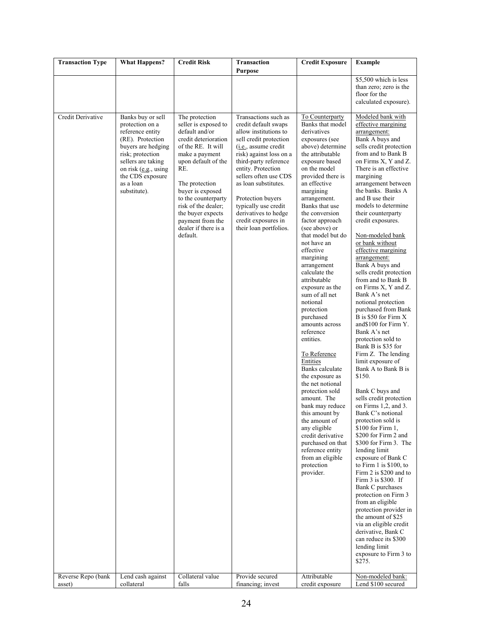| <b>Transaction Type</b>                 | <b>What Happens?</b>                                                                                                                                                                                                                       | <b>Credit Risk</b>                                                                                                                                                                                                                                                                                                                          | <b>Transaction</b><br><b>Purpose</b>                                                                                                                                                                                                                                                                                                                                                          | <b>Credit Exposure</b>                                                                                                                                                                                                                                                                                                                                                                                                                                                                                                                                                                                                                                                                                                                                                                                                                                     | <b>Example</b>                                                                                                                                                                                                                                                                                                                                                                                                                                                                                                                                                                                                                                                                                                                                                                                                                                                                                                                                                                                                                                                                                                                                                                                                                                                                                                                                    |
|-----------------------------------------|--------------------------------------------------------------------------------------------------------------------------------------------------------------------------------------------------------------------------------------------|---------------------------------------------------------------------------------------------------------------------------------------------------------------------------------------------------------------------------------------------------------------------------------------------------------------------------------------------|-----------------------------------------------------------------------------------------------------------------------------------------------------------------------------------------------------------------------------------------------------------------------------------------------------------------------------------------------------------------------------------------------|------------------------------------------------------------------------------------------------------------------------------------------------------------------------------------------------------------------------------------------------------------------------------------------------------------------------------------------------------------------------------------------------------------------------------------------------------------------------------------------------------------------------------------------------------------------------------------------------------------------------------------------------------------------------------------------------------------------------------------------------------------------------------------------------------------------------------------------------------------|---------------------------------------------------------------------------------------------------------------------------------------------------------------------------------------------------------------------------------------------------------------------------------------------------------------------------------------------------------------------------------------------------------------------------------------------------------------------------------------------------------------------------------------------------------------------------------------------------------------------------------------------------------------------------------------------------------------------------------------------------------------------------------------------------------------------------------------------------------------------------------------------------------------------------------------------------------------------------------------------------------------------------------------------------------------------------------------------------------------------------------------------------------------------------------------------------------------------------------------------------------------------------------------------------------------------------------------------------|
|                                         |                                                                                                                                                                                                                                            |                                                                                                                                                                                                                                                                                                                                             |                                                                                                                                                                                                                                                                                                                                                                                               |                                                                                                                                                                                                                                                                                                                                                                                                                                                                                                                                                                                                                                                                                                                                                                                                                                                            | \$5,500 which is less<br>than zero; zero is the<br>floor for the<br>calculated exposure).                                                                                                                                                                                                                                                                                                                                                                                                                                                                                                                                                                                                                                                                                                                                                                                                                                                                                                                                                                                                                                                                                                                                                                                                                                                         |
| Credit Derivative<br>Reverse Repo (bank | Banks buy or sell<br>protection on a<br>reference entity<br>(RE). Protection<br>buyers are hedging<br>risk; protection<br>sellers are taking<br>on risk (e.g., using<br>the CDS exposure<br>as a loan<br>substitute).<br>Lend cash against | The protection<br>seller is exposed to<br>default and/or<br>credit deterioration<br>of the RE. It will<br>make a payment<br>upon default of the<br>RE.<br>The protection<br>buyer is exposed<br>to the counterparty<br>risk of the dealer;<br>the buyer expects<br>payment from the<br>dealer if there is a<br>default.<br>Collateral value | Transactions such as<br>credit default swaps<br>allow institutions to<br>sell credit protection<br>$(i.e.,$ assume credit<br>risk) against loss on a<br>third-party reference<br>entity. Protection<br>sellers often use CDS<br>as loan substitutes.<br>Protection buyers<br>typically use credit<br>derivatives to hedge<br>credit exposures in<br>their loan portfolios.<br>Provide secured | To Counterparty<br>Banks that model<br>derivatives<br>exposures (see<br>above) determine<br>the attributable<br>exposure based<br>on the model<br>provided there is<br>an effective<br>margining<br>arrangement.<br>Banks that use<br>the conversion<br>factor approach<br>(see above) or<br>that model but do<br>not have an<br>effective<br>margining<br>arrangement<br>calculate the<br>attributable<br>exposure as the<br>sum of all net<br>notional<br>protection<br>purchased<br>amounts across<br>reference<br>entities.<br>To Reference<br>Entities<br>Banks calculate<br>the exposure as<br>the net notional<br>protection sold<br>amount. The<br>bank may reduce<br>this amount by<br>the amount of<br>any eligible<br>credit derivative<br>purchased on that<br>reference entity<br>from an eligible<br>protection<br>provider.<br>Attributable | Modeled bank with<br>effective margining<br>arrangement:<br>Bank A buys and<br>sells credit protection<br>from and to Bank B<br>on Firms X, Y and Z.<br>There is an effective<br>margining<br>arrangement between<br>the banks. Banks A<br>and B use their<br>models to determine<br>their counterparty<br>credit exposures.<br>Non-modeled bank<br>or bank without<br>effective margining<br>arrangement:<br>Bank A buys and<br>sells credit protection<br>from and to Bank B<br>on Firms X, Y and Z.<br>Bank A's net<br>notional protection<br>purchased from Bank<br>B is \$50 for Firm X<br>and \$100 for Firm Y.<br>Bank A's net<br>protection sold to<br>Bank B is \$35 for<br>Firm Z. The lending<br>limit exposure of<br>Bank A to Bank B is<br>\$150.<br>Bank C buys and<br>sells credit protection<br>on Firms $1,2$ , and $3$ .<br>Bank C's notional<br>protection sold is<br>$$100$ for Firm 1,<br>\$200 for Firm 2 and<br>\$300 for Firm 3. The<br>lending limit<br>exposure of Bank C<br>to Firm $1$ is \$100, to<br>Firm 2 is \$200 and to<br>Firm 3 is \$300. If<br>Bank C purchases<br>protection on Firm 3<br>from an eligible<br>protection provider in<br>the amount of \$25<br>via an eligible credit<br>derivative, Bank C<br>can reduce its \$300<br>lending limit<br>exposure to Firm 3 to<br>\$275.<br>Non-modeled bank: |
| asset)                                  | collateral                                                                                                                                                                                                                                 | falls                                                                                                                                                                                                                                                                                                                                       | financing; invest                                                                                                                                                                                                                                                                                                                                                                             | credit exposure                                                                                                                                                                                                                                                                                                                                                                                                                                                                                                                                                                                                                                                                                                                                                                                                                                            | Lend \$100 secured                                                                                                                                                                                                                                                                                                                                                                                                                                                                                                                                                                                                                                                                                                                                                                                                                                                                                                                                                                                                                                                                                                                                                                                                                                                                                                                                |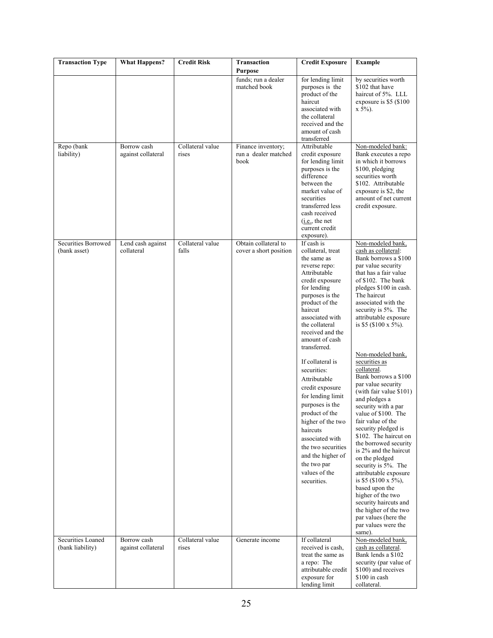| <b>Transaction Type</b>               | <b>What Happens?</b>              | <b>Credit Risk</b>        | <b>Transaction</b><br><b>Purpose</b>               | <b>Credit Exposure</b>                                                                                                                                                                                                                                                                                                                                                                                                                                                                                                                     | <b>Example</b>                                                                                                                                                                                                                                                                                                                                                                                                                                                                                                                                                                                                                                                                                                                                                                                                                                |
|---------------------------------------|-----------------------------------|---------------------------|----------------------------------------------------|--------------------------------------------------------------------------------------------------------------------------------------------------------------------------------------------------------------------------------------------------------------------------------------------------------------------------------------------------------------------------------------------------------------------------------------------------------------------------------------------------------------------------------------------|-----------------------------------------------------------------------------------------------------------------------------------------------------------------------------------------------------------------------------------------------------------------------------------------------------------------------------------------------------------------------------------------------------------------------------------------------------------------------------------------------------------------------------------------------------------------------------------------------------------------------------------------------------------------------------------------------------------------------------------------------------------------------------------------------------------------------------------------------|
|                                       |                                   |                           | funds; run a dealer<br>matched book                | for lending limit<br>purposes is the<br>product of the<br>haircut<br>associated with<br>the collateral<br>received and the<br>amount of cash<br>transferred                                                                                                                                                                                                                                                                                                                                                                                | by securities worth<br>\$102 that have<br>haircut of 5%. LLL<br>exposure is \$5 (\$100)<br>$x 5\%$ ).                                                                                                                                                                                                                                                                                                                                                                                                                                                                                                                                                                                                                                                                                                                                         |
| Repo (bank<br>liability)              | Borrow cash<br>against collateral | Collateral value<br>rises | Finance inventory;<br>run a dealer matched<br>book | Attributable<br>credit exposure<br>for lending limit<br>purposes is the<br>difference<br>between the<br>market value of<br>securities<br>transferred less<br>cash received<br>(i.e., the net)<br>current credit<br>exposure).                                                                                                                                                                                                                                                                                                              | Non-modeled bank:<br>Bank executes a repo<br>in which it borrows<br>\$100, pledging<br>securities worth<br>\$102. Attributable<br>exposure is \$2, the<br>amount of net current<br>credit exposure.                                                                                                                                                                                                                                                                                                                                                                                                                                                                                                                                                                                                                                           |
| Securities Borrowed<br>(bank asset)   | Lend cash against<br>collateral   | Collateral value<br>falls | Obtain collateral to<br>cover a short position     | If cash is<br>collateral, treat<br>the same as<br>reverse repo:<br>Attributable<br>credit exposure<br>for lending<br>purposes is the<br>product of the<br>haircut<br>associated with<br>the collateral<br>received and the<br>amount of cash<br>transferred.<br>If collateral is<br>securities:<br>Attributable<br>credit exposure<br>for lending limit<br>purposes is the<br>product of the<br>higher of the two<br>haircuts<br>associated with<br>the two securities<br>and the higher of<br>the two par<br>values of the<br>securities. | Non-modeled bank,<br>cash as collateral:<br>Bank borrows a \$100<br>par value security<br>that has a fair value<br>of \$102. The bank<br>pledges \$100 in cash.<br>The haircut<br>associated with the<br>security is 5%. The<br>attributable exposure<br>is \$5 (\$100 x 5%).<br>Non-modeled bank,<br>securities as<br>collateral.<br>Bank borrows a \$100<br>par value security<br>(with fair value \$101)<br>and pledges a<br>security with a par<br>value of \$100. The<br>fair value of the<br>security pledged is<br>\$102. The haircut on<br>the borrowed security<br>is 2% and the haircut<br>on the pledged<br>security is 5%. The<br>attributable exposure<br>is \$5 (\$100 x 5%),<br>based upon the<br>higher of the two<br>security haircuts and<br>the higher of the two<br>par values (here the<br>par values were the<br>same). |
| Securities Loaned<br>(bank liability) | Borrow cash<br>against collateral | Collateral value<br>rises | Generate income                                    | If collateral<br>received is cash.<br>treat the same as<br>a repo: The<br>attributable credit<br>exposure for<br>lending limit                                                                                                                                                                                                                                                                                                                                                                                                             | Non-modeled bank,<br>cash as collateral.<br>Bank lends a \$102<br>security (par value of<br>\$100) and receives<br>\$100 in cash<br>collateral.                                                                                                                                                                                                                                                                                                                                                                                                                                                                                                                                                                                                                                                                                               |
|                                       |                                   |                           | 25                                                 |                                                                                                                                                                                                                                                                                                                                                                                                                                                                                                                                            |                                                                                                                                                                                                                                                                                                                                                                                                                                                                                                                                                                                                                                                                                                                                                                                                                                               |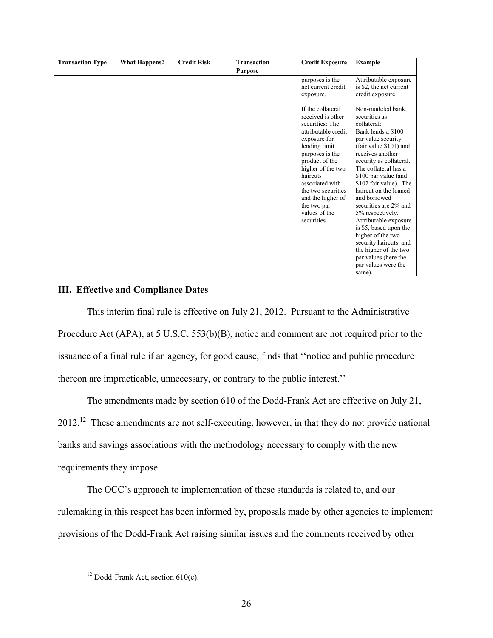| <b>Transaction Type</b> | <b>What Happens?</b> | <b>Credit Risk</b> | <b>Transaction</b> | <b>Credit Exposure</b>                                                                                                                                                                                                                                                                               | <b>Example</b>                                                                                                                                                                                                                                                                                                                                                                                                                                                                                                  |
|-------------------------|----------------------|--------------------|--------------------|------------------------------------------------------------------------------------------------------------------------------------------------------------------------------------------------------------------------------------------------------------------------------------------------------|-----------------------------------------------------------------------------------------------------------------------------------------------------------------------------------------------------------------------------------------------------------------------------------------------------------------------------------------------------------------------------------------------------------------------------------------------------------------------------------------------------------------|
|                         |                      |                    | <b>Purpose</b>     |                                                                                                                                                                                                                                                                                                      |                                                                                                                                                                                                                                                                                                                                                                                                                                                                                                                 |
|                         |                      |                    |                    | purposes is the<br>net current credit<br>exposure.                                                                                                                                                                                                                                                   | Attributable exposure<br>is \$2, the net current<br>credit exposure.                                                                                                                                                                                                                                                                                                                                                                                                                                            |
|                         |                      |                    |                    | If the collateral<br>received is other<br>securities: The<br>attributable credit<br>exposure for<br>lending limit<br>purposes is the<br>product of the<br>higher of the two<br>haircuts<br>associated with<br>the two securities<br>and the higher of<br>the two par<br>values of the<br>securities. | Non-modeled bank,<br>securities as<br>collateral:<br>Bank lends a \$100<br>par value security<br>(fair value \$101) and<br>receives another<br>security as collateral.<br>The collateral has a<br>\$100 par value (and<br>\$102 fair value). The<br>haircut on the loaned<br>and borrowed<br>securities are 2% and<br>5% respectively.<br>Attributable exposure<br>is \$5, based upon the<br>higher of the two<br>security haircuts and<br>the higher of the two<br>par values (here the<br>par values were the |
|                         |                      |                    |                    |                                                                                                                                                                                                                                                                                                      | same).                                                                                                                                                                                                                                                                                                                                                                                                                                                                                                          |

# **III. Effective and Compliance Dates**

This interim final rule is effective on July 21, 2012. Pursuant to the Administrative Procedure Act (APA), at 5 U.S.C. 553(b)(B), notice and comment are not required prior to the issuance of a final rule if an agency, for good cause, finds that ''notice and public procedure thereon are impracticable, unnecessary, or contrary to the public interest.''

The amendments made by section 610 of the Dodd-Frank Act are effective on July 21, 2012.<sup>12</sup> These amendments are not self-executing, however, in that they do not provide national banks and savings associations with the methodology necessary to comply with the new requirements they impose.

The OCC's approach to implementation of these standards is related to, and our rulemaking in this respect has been informed by, proposals made by other agencies to implement provisions of the Dodd-Frank Act raising similar issues and the comments received by other

 $\overline{a}$ 

<sup>&</sup>lt;sup>12</sup> Dodd-Frank Act, section  $610(c)$ .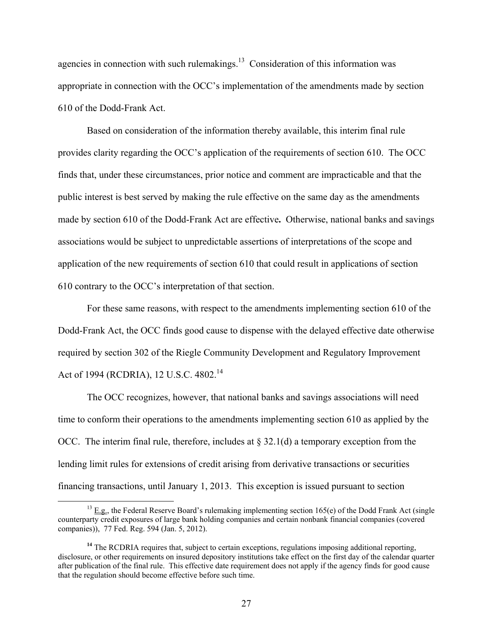agencies in connection with such rulemakings.<sup>13</sup> Consideration of this information was appropriate in connection with the OCC's implementation of the amendments made by section 610 of the Dodd-Frank Act.

Based on consideration of the information thereby available, this interim final rule provides clarity regarding the OCC's application of the requirements of section 610. The OCC finds that, under these circumstances, prior notice and comment are impracticable and that the public interest is best served by making the rule effective on the same day as the amendments made by section 610 of the Dodd-Frank Act are effective**.** Otherwise, national banks and savings associations would be subject to unpredictable assertions of interpretations of the scope and application of the new requirements of section 610 that could result in applications of section 610 contrary to the OCC's interpretation of that section.

Act of 1994 (RCDRIA), 12 U.S.C. 4802.<sup>14</sup> For these same reasons, with respect to the amendments implementing section 610 of the Dodd-Frank Act, the OCC finds good cause to dispense with the delayed effective date otherwise required by section 302 of the Riegle Community Development and Regulatory Improvement

The OCC recognizes, however, that national banks and savings associations will need time to conform their operations to the amendments implementing section 610 as applied by the OCC. The interim final rule, therefore, includes at  $\S 32.1(d)$  a temporary exception from the lending limit rules for extensions of credit arising from derivative transactions or securities financing transactions, until January 1, 2013. This exception is issued pursuant to section

 $\overline{a}$ 

 counterparty credit exposures of large bank holding companies and certain nonbank financial companies (covered  $13$  E.g., the Federal Reserve Board's rulemaking implementing section 165(e) of the Dodd Frank Act (single companies)), 77 Fed. Reg. 594 (Jan. 5, 2012).

<sup>&</sup>lt;sup>14</sup> The RCDRIA requires that, subject to certain exceptions, regulations imposing additional reporting, disclosure, or other requirements on insured depository institutions take effect on the first day of the calendar quarter after publication of the final rule. This effective date requirement does not apply if the agency finds for good cause that the regulation should become effective before such time.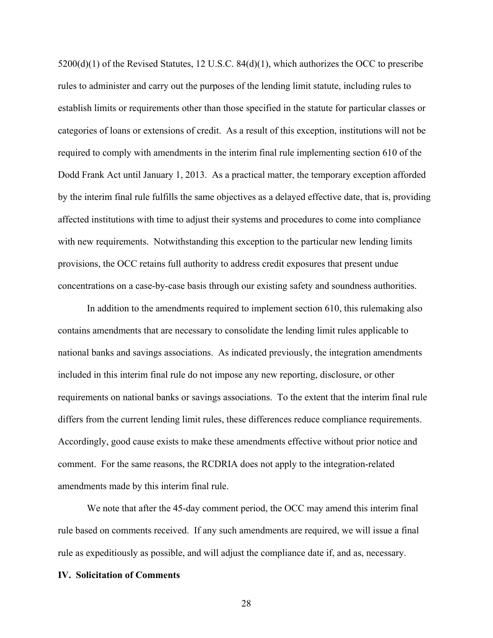Dodd Frank Act until January 1, 2013. As a practical matter, the temporary exception afforded  $5200(d)(1)$  of the Revised Statutes, 12 U.S.C.  $84(d)(1)$ , which authorizes the OCC to prescribe rules to administer and carry out the purposes of the lending limit statute, including rules to establish limits or requirements other than those specified in the statute for particular classes or categories of loans or extensions of credit. As a result of this exception, institutions will not be required to comply with amendments in the interim final rule implementing section 610 of the by the interim final rule fulfills the same objectives as a delayed effective date, that is, providing affected institutions with time to adjust their systems and procedures to come into compliance with new requirements. Notwithstanding this exception to the particular new lending limits provisions, the OCC retains full authority to address credit exposures that present undue concentrations on a case-by-case basis through our existing safety and soundness authorities.

In addition to the amendments required to implement section 610, this rulemaking also contains amendments that are necessary to consolidate the lending limit rules applicable to national banks and savings associations. As indicated previously, the integration amendments included in this interim final rule do not impose any new reporting, disclosure, or other requirements on national banks or savings associations. To the extent that the interim final rule differs from the current lending limit rules, these differences reduce compliance requirements. Accordingly, good cause exists to make these amendments effective without prior notice and comment. For the same reasons, the RCDRIA does not apply to the integration-related amendments made by this interim final rule.

We note that after the 45-day comment period, the OCC may amend this interim final rule based on comments received. If any such amendments are required, we will issue a final rule as expeditiously as possible, and will adjust the compliance date if, and as, necessary.

#### **IV. Solicitation of Comments**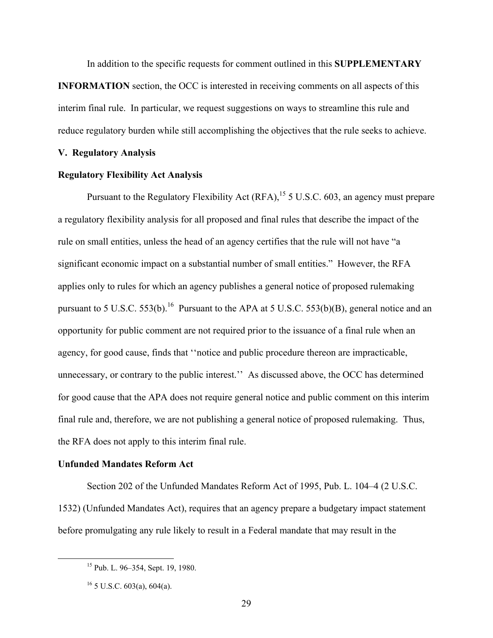In addition to the specific requests for comment outlined in this **SUPPLEMENTARY** 

**INFORMATION** section, the OCC is interested in receiving comments on all aspects of this interim final rule. In particular, we request suggestions on ways to streamline this rule and reduce regulatory burden while still accomplishing the objectives that the rule seeks to achieve.

#### **V. Regulatory Analysis**

#### **Regulatory Flexibility Act Analysis**

Pursuant to the Regulatory Flexibility Act  $(RFA)$ , <sup>15</sup> 5 U.S.C. 603, an agency must prepare a regulatory flexibility analysis for all proposed and final rules that describe the impact of the rule on small entities, unless the head of an agency certifies that the rule will not have "a significant economic impact on a substantial number of small entities." However, the RFA applies only to rules for which an agency publishes a general notice of proposed rulemaking pursuant to 5 U.S.C. 553(b).<sup>16</sup> Pursuant to the APA at 5 U.S.C. 553(b)(B), general notice and an opportunity for public comment are not required prior to the issuance of a final rule when an agency, for good cause, finds that ''notice and public procedure thereon are impracticable, unnecessary, or contrary to the public interest.'' As discussed above, the OCC has determined for good cause that the APA does not require general notice and public comment on this interim final rule and, therefore, we are not publishing a general notice of proposed rulemaking. Thus, the RFA does not apply to this interim final rule.

## **Unfunded Mandates Reform Act**

Section 202 of the Unfunded Mandates Reform Act of 1995, Pub. L. 104–4 (2 U.S.C. 1532) (Unfunded Mandates Act), requires that an agency prepare a budgetary impact statement before promulgating any rule likely to result in a Federal mandate that may result in the

-

<sup>15</sup> Pub. L. 96–354, Sept. 19, 1980.

 $16$  5 U.S.C. 603(a), 604(a).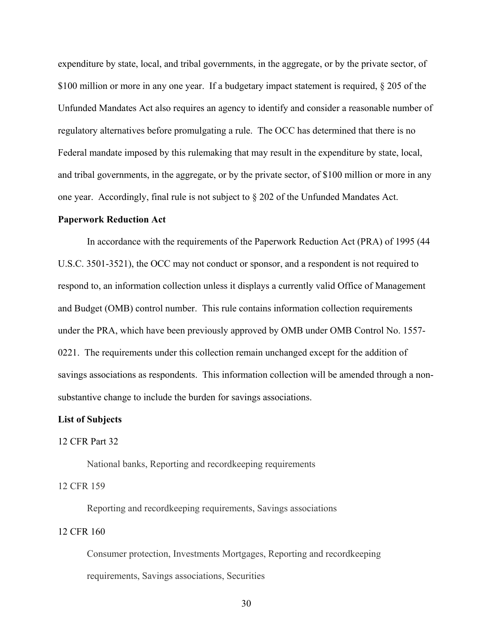expenditure by state, local, and tribal governments, in the aggregate, or by the private sector, of \$100 million or more in any one year. If a budgetary impact statement is required, § 205 of the Unfunded Mandates Act also requires an agency to identify and consider a reasonable number of regulatory alternatives before promulgating a rule. The OCC has determined that there is no Federal mandate imposed by this rulemaking that may result in the expenditure by state, local, and tribal governments, in the aggregate, or by the private sector, of \$100 million or more in any one year. Accordingly, final rule is not subject to  $\S 202$  of the Unfunded Mandates Act.

#### **Paperwork Reduction Act**

In accordance with the requirements of the Paperwork Reduction Act (PRA) of 1995 (44 U.S.C. 3501-3521), the OCC may not conduct or sponsor, and a respondent is not required to respond to, an information collection unless it displays a currently valid Office of Management and Budget (OMB) control number. This rule contains information collection requirements under the PRA, which have been previously approved by OMB under OMB Control No. 1557- 0221. The requirements under this collection remain unchanged except for the addition of savings associations as respondents. This information collection will be amended through a nonsubstantive change to include the burden for savings associations.

#### **List of Subjects**

#### 12 CFR Part 32

National banks, Reporting and recordkeeping requirements

#### 12 CFR 159

Reporting and recordkeeping requirements, Savings associations 12 CFR 160

Consumer protection, Investments Mortgages, Reporting and recordkeeping requirements, Savings associations, Securities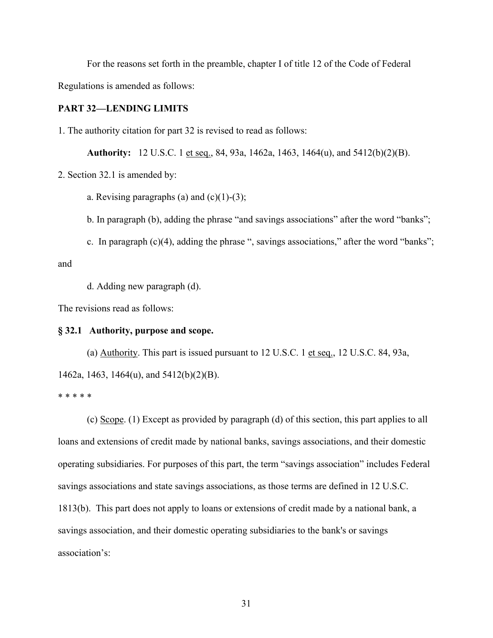For the reasons set forth in the preamble, chapter I of title 12 of the Code of Federal Regulations is amended as follows:

#### **PART 32—LENDING LIMITS**

1. The authority citation for part 32 is revised to read as follows:

**Authority:** 12 U.S.C. 1 et seq., 84, 93a, 1462a, 1463, 1464(u), and 5412(b)(2)(B).

2. Section 32.1 is amended by:

a. Revising paragraphs (a) and  $(c)(1)-(3)$ ;

b. In paragraph (b), adding the phrase "and savings associations" after the word "banks";

c. In paragraph (c)(4), adding the phrase ", savings associations," after the word "banks";

and

d. Adding new paragraph (d).

The revisions read as follows:

#### **§ 32.1 Authority, purpose and scope.**

(a)  $\Delta$ uthority. This part is issued pursuant to 12 U.S.C. 1 et seq., 12 U.S.C. 84, 93a, 1462a, 1463, 1464(u), and 5412(b)(2)(B).

\* \* \* \* \*

(c) Scope. (1) Except as provided by paragraph (d) of this section, this part applies to all loans and extensions of credit made by national banks, savings associations, and their domestic operating subsidiaries. For purposes of this part, the term "savings association" includes Federal savings associations and state savings associations, as those terms are defined in 12 U.S.C. 1813(b). This part does not apply to loans or extensions of credit made by a national bank, a savings association, and their domestic operating subsidiaries to the bank's or savings association's: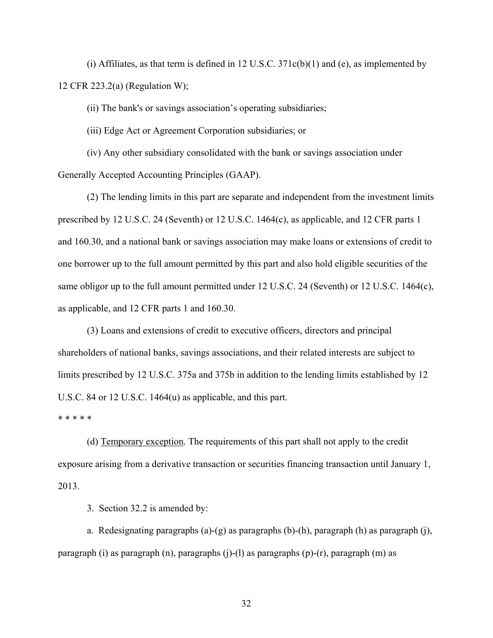(i) Affiliates, as that term is defined in 12 U.S.C.  $371c(b)(1)$  and (e), as implemented by 12 CFR 223.2(a) (Regulation W);

(ii) The bank's or savings association's operating subsidiaries;

(iii) Edge Act or Agreement Corporation subsidiaries; or

(iv) Any other subsidiary consolidated with the bank or savings association under Generally Accepted Accounting Principles (GAAP).

(2) The lending limits in this part are separate and independent from the investment limits prescribed by 12 U.S.C. 24 (Seventh) or 12 U.S.C. 1464(c), as applicable, and 12 CFR parts 1 and 160.30, and a national bank or savings association may make loans or extensions of credit to one borrower up to the full amount permitted by this part and also hold eligible securities of the same obligor up to the full amount permitted under 12 U.S.C. 24 (Seventh) or 12 U.S.C. 1464(c), as applicable, and 12 CFR parts 1 and 160.30.

(3) Loans and extensions of credit to executive officers, directors and principal shareholders of national banks, savings associations, and their related interests are subject to limits prescribed by 12 U.S.C. 375a and 375b in addition to the lending limits established by 12 U.S.C. 84 or 12 U.S.C. 1464(u) as applicable, and this part.

\* \* \* \* \*

(d) Temporary exception. The requirements of this part shall not apply to the credit exposure arising from a derivative transaction or securities financing transaction until January 1, 2013.

3. Section 32.2 is amended by:

a. Redesignating paragraphs (a)-(g) as paragraphs (b)-(h), paragraph (h) as paragraph (j), paragraph (i) as paragraph (n), paragraphs (j)-(l) as paragraphs (p)-(r), paragraph (m) as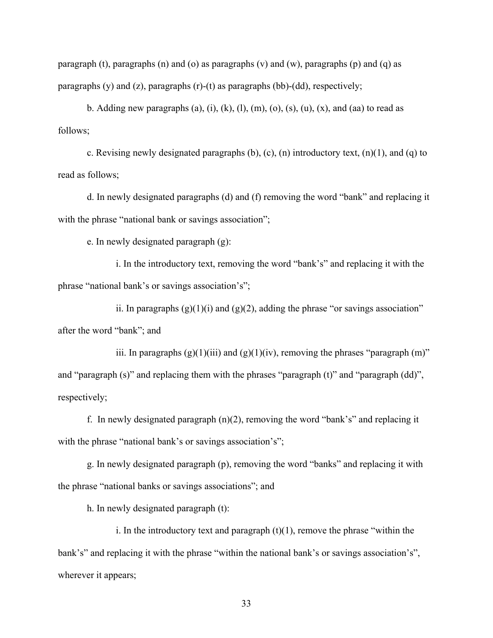paragraph (t), paragraphs (n) and (o) as paragraphs (v) and (w), paragraphs (p) and (q) as paragraphs  $(y)$  and  $(z)$ , paragraphs  $(r)-(t)$  as paragraphs  $(bb)-(dd)$ , respectively;

b. Adding new paragraphs (a), (i), (k), (l), (m), (o), (s), (u), (x), and (aa) to read as follows;

c. Revising newly designated paragraphs  $(b)$ ,  $(c)$ ,  $(n)$  introductory text,  $(n)(1)$ , and  $(q)$  to read as follows;

d. In newly designated paragraphs (d) and (f) removing the word "bank" and replacing it with the phrase "national bank or savings association";

e. In newly designated paragraph (g):

i. In the introductory text, removing the word "bank's" and replacing it with the phrase "national bank's or savings association's";

ii. In paragraphs  $(g)(1)(i)$  and  $(g)(2)$ , adding the phrase "or savings association" after the word "bank"; and

iii. In paragraphs  $(g)(1)(iii)$  and  $(g)(1)(iv)$ , removing the phrases "paragraph  $(m)$ " and "paragraph (s)" and replacing them with the phrases "paragraph (t)" and "paragraph (dd)", respectively;

f. In newly designated paragraph (n)(2), removing the word "bank's" and replacing it with the phrase "national bank's or savings association's";

g. In newly designated paragraph (p), removing the word "banks" and replacing it with the phrase "national banks or savings associations"; and

h. In newly designated paragraph (t):

i. In the introductory text and paragraph  $(t)(1)$ , remove the phrase "within the bank's" and replacing it with the phrase "within the national bank's or savings association's", wherever it appears;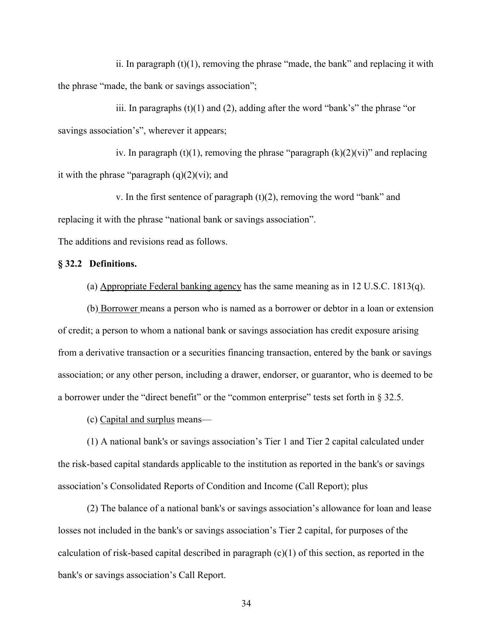ii. In paragraph  $(t)(1)$ , removing the phrase "made, the bank" and replacing it with the phrase "made, the bank or savings association";

iii. In paragraphs  $(t)(1)$  and  $(2)$ , adding after the word "bank's" the phrase "or savings association's", wherever it appears;

iv. In paragraph (t)(1), removing the phrase "paragraph  $(k)(2)(vi)$ " and replacing it with the phrase "paragraph  $(q)(2)(vi)$ ; and

v. In the first sentence of paragraph  $(t)(2)$ , removing the word "bank" and replacing it with the phrase "national bank or savings association".

The additions and revisions read as follows.

# **§ 32.2 Definitions.**

(a) Appropriate Federal banking agency has the same meaning as in 12 U.S.C. 1813(q).

(b) Borrower means a person who is named as a borrower or debtor in a loan or extension of credit; a person to whom a national bank or savings association has credit exposure arising from a derivative transaction or a securities financing transaction, entered by the bank or savings association; or any other person, including a drawer, endorser, or guarantor, who is deemed to be a borrower under the "direct benefit" or the "common enterprise" tests set forth in  $\S 32.5$ .

(c) Capital and surplus means—

(1) A national bank's or savings association's Tier 1 and Tier 2 capital calculated under the risk-based capital standards applicable to the institution as reported in the bank's or savings association's Consolidated Reports of Condition and Income (Call Report); plus

(2) The balance of a national bank's or savings association's allowance for loan and lease losses not included in the bank's or savings association's Tier 2 capital, for purposes of the calculation of risk-based capital described in paragraph  $(c)(1)$  of this section, as reported in the bank's or savings association's Call Report.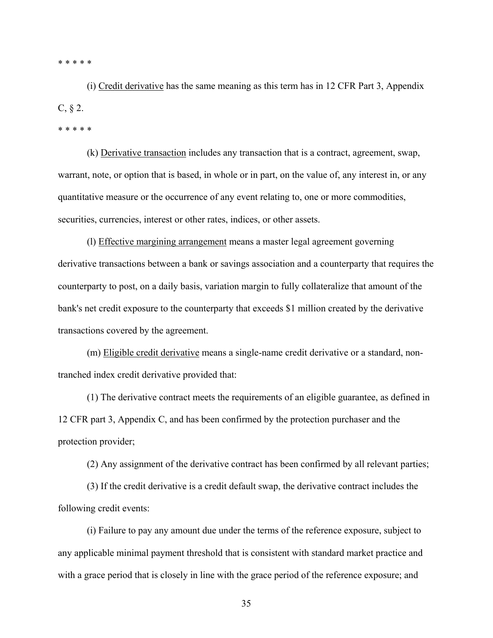\* \* \* \* \*

(i) Credit derivative has the same meaning as this term has in 12 CFR Part 3, Appendix  $C, \S 2.$ 

\* \* \* \* \*

(k) Derivative transaction includes any transaction that is a contract, agreement, swap, warrant, note, or option that is based, in whole or in part, on the value of, any interest in, or any quantitative measure or the occurrence of any event relating to, one or more commodities, securities, currencies, interest or other rates, indices, or other assets.

(l) Effective margining arrangement means a master legal agreement governing derivative transactions between a bank or savings association and a counterparty that requires the counterparty to post, on a daily basis, variation margin to fully collateralize that amount of the bank's net credit exposure to the counterparty that exceeds \$1 million created by the derivative transactions covered by the agreement.

(m) Eligible credit derivative means a single-name credit derivative or a standard, nontranched index credit derivative provided that:

(1) The derivative contract meets the requirements of an eligible guarantee, as defined in 12 CFR part 3, Appendix C, and has been confirmed by the protection purchaser and the protection provider;

(2) Any assignment of the derivative contract has been confirmed by all relevant parties;

(3) If the credit derivative is a credit default swap, the derivative contract includes the following credit events:

(i) Failure to pay any amount due under the terms of the reference exposure, subject to any applicable minimal payment threshold that is consistent with standard market practice and with a grace period that is closely in line with the grace period of the reference exposure; and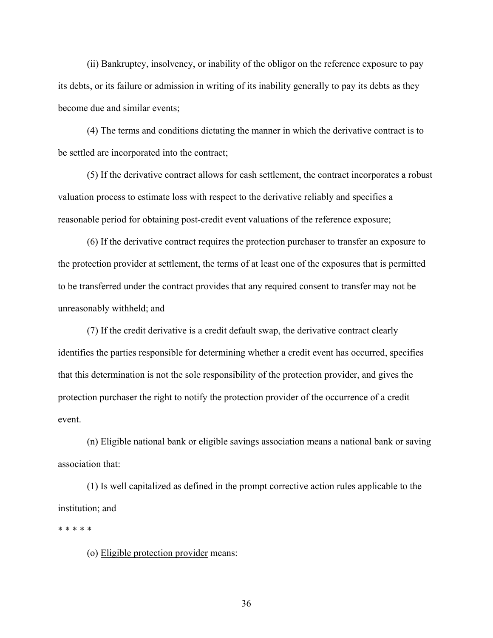(ii) Bankruptcy, insolvency, or inability of the obligor on the reference exposure to pay its debts, or its failure or admission in writing of its inability generally to pay its debts as they become due and similar events;

(4) The terms and conditions dictating the manner in which the derivative contract is to be settled are incorporated into the contract;

(5) If the derivative contract allows for cash settlement, the contract incorporates a robust valuation process to estimate loss with respect to the derivative reliably and specifies a reasonable period for obtaining post-credit event valuations of the reference exposure;

(6) If the derivative contract requires the protection purchaser to transfer an exposure to the protection provider at settlement, the terms of at least one of the exposures that is permitted to be transferred under the contract provides that any required consent to transfer may not be unreasonably withheld; and

(7) If the credit derivative is a credit default swap, the derivative contract clearly identifies the parties responsible for determining whether a credit event has occurred, specifies that this determination is not the sole responsibility of the protection provider, and gives the protection purchaser the right to notify the protection provider of the occurrence of a credit event.

(n) Eligible national bank or eligible savings association means a national bank or saving association that:

(1) Is well capitalized as defined in the prompt corrective action rules applicable to the institution; and

\* \* \* \* \*

(o) Eligible protection provider means: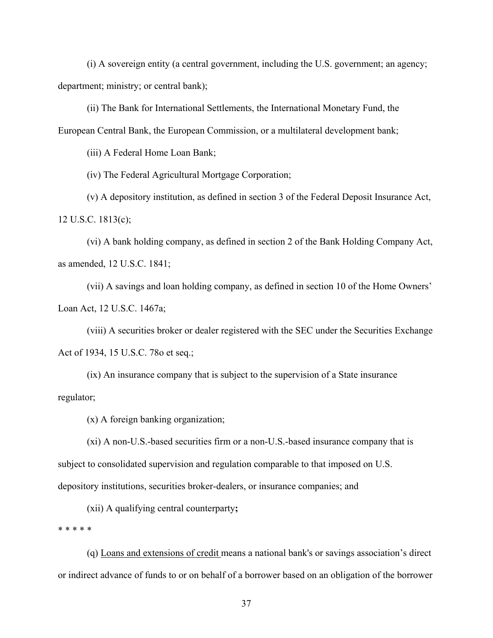(i) A sovereign entity (a central government, including the U.S. government; an agency; department; ministry; or central bank);

(ii) The Bank for International Settlements, the International Monetary Fund, the European Central Bank, the European Commission, or a multilateral development bank;

(iii) A Federal Home Loan Bank;

(iv) The Federal Agricultural Mortgage Corporation;

(v) A depository institution, as defined in section 3 of the Federal Deposit Insurance Act, 12 U.S.C. 1813(c);

(vi) A bank holding company, as defined in section 2 of the Bank Holding Company Act, as amended, 12 U.S.C. 1841;

(vii) A savings and loan holding company, as defined in section 10 of the Home Owners' Loan Act, 12 U.S.C. 1467a;

(viii) A securities broker or dealer registered with the SEC under the Securities Exchange Act of 1934, 15 U.S.C. 78o et seq.;

(ix) An insurance company that is subject to the supervision of a State insurance regulator;

(x) A foreign banking organization;

(xi) A non-U.S.-based securities firm or a non-U.S.-based insurance company that is subject to consolidated supervision and regulation comparable to that imposed on U.S. depository institutions, securities broker-dealers, or insurance companies; and

(xii) A qualifying central counterparty**;** 

\* \* \* \* \*

(q) Loans and extensions of credit means a national bank's or savings association's direct or indirect advance of funds to or on behalf of a borrower based on an obligation of the borrower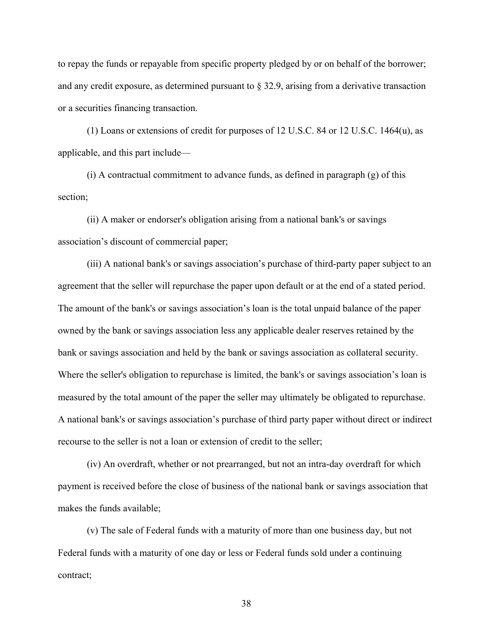to repay the funds or repayable from specific property pledged by or on behalf of the borrower; and any credit exposure, as determined pursuant to  $\S$  32.9, arising from a derivative transaction or a securities financing transaction.

(1) Loans or extensions of credit for purposes of 12 U.S.C. 84 or 12 U.S.C. 1464(u), as applicable, and this part include—

(i) A contractual commitment to advance funds, as defined in paragraph (g) of this section;

(ii) A maker or endorser's obligation arising from a national bank's or savings association's discount of commercial paper;

(iii) A national bank's or savings association's purchase of third-party paper subject to an agreement that the seller will repurchase the paper upon default or at the end of a stated period. The amount of the bank's or savings association's loan is the total unpaid balance of the paper owned by the bank or savings association less any applicable dealer reserves retained by the bank or savings association and held by the bank or savings association as collateral security. Where the seller's obligation to repurchase is limited, the bank's or savings association's loan is measured by the total amount of the paper the seller may ultimately be obligated to repurchase. A national bank's or savings association's purchase of third party paper without direct or indirect recourse to the seller is not a loan or extension of credit to the seller;

(iv) An overdraft, whether or not prearranged, but not an intra-day overdraft for which payment is received before the close of business of the national bank or savings association that makes the funds available;

(v) The sale of Federal funds with a maturity of more than one business day, but not Federal funds with a maturity of one day or less or Federal funds sold under a continuing contract;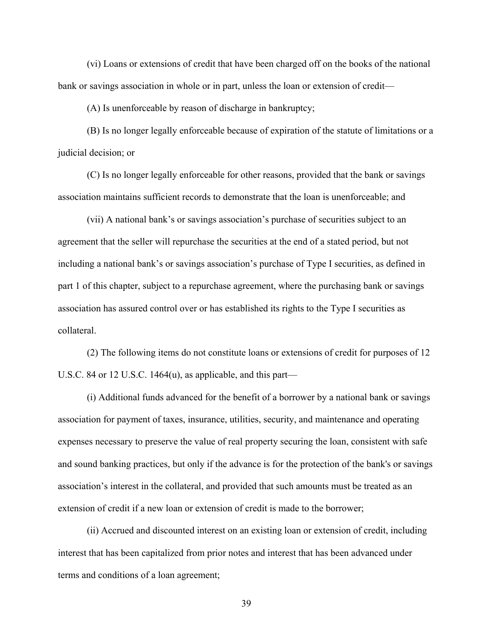(vi) Loans or extensions of credit that have been charged off on the books of the national bank or savings association in whole or in part, unless the loan or extension of credit—

(A) Is unenforceable by reason of discharge in bankruptcy;

(B) Is no longer legally enforceable because of expiration of the statute of limitations or a judicial decision; or

(C) Is no longer legally enforceable for other reasons, provided that the bank or savings association maintains sufficient records to demonstrate that the loan is unenforceable; and

(vii) A national bank's or savings association's purchase of securities subject to an agreement that the seller will repurchase the securities at the end of a stated period, but not including a national bank's or savings association's purchase of Type I securities, as defined in part 1 of this chapter, subject to a repurchase agreement, where the purchasing bank or savings association has assured control over or has established its rights to the Type I securities as collateral.

(2) The following items do not constitute loans or extensions of credit for purposes of 12 U.S.C. 84 or 12 U.S.C. 1464(u), as applicable, and this part—

(i) Additional funds advanced for the benefit of a borrower by a national bank or savings association for payment of taxes, insurance, utilities, security, and maintenance and operating expenses necessary to preserve the value of real property securing the loan, consistent with safe and sound banking practices, but only if the advance is for the protection of the bank's or savings association's interest in the collateral, and provided that such amounts must be treated as an extension of credit if a new loan or extension of credit is made to the borrower;

(ii) Accrued and discounted interest on an existing loan or extension of credit, including interest that has been capitalized from prior notes and interest that has been advanced under terms and conditions of a loan agreement;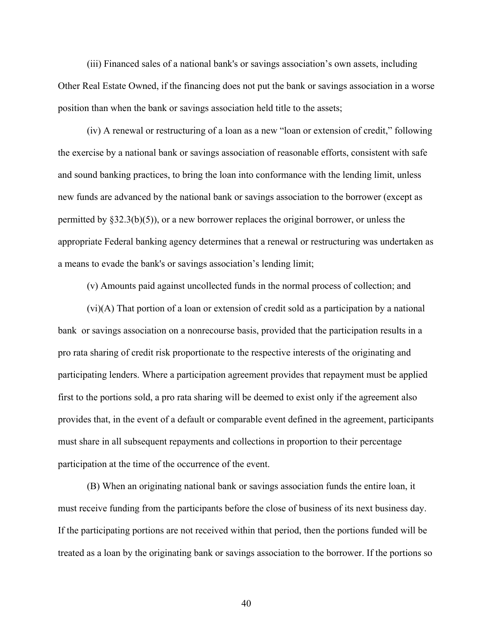(iii) Financed sales of a national bank's or savings association's own assets, including Other Real Estate Owned, if the financing does not put the bank or savings association in a worse position than when the bank or savings association held title to the assets;

(iv) A renewal or restructuring of a loan as a new "loan or extension of credit," following the exercise by a national bank or savings association of reasonable efforts, consistent with safe and sound banking practices, to bring the loan into conformance with the lending limit, unless new funds are advanced by the national bank or savings association to the borrower (except as permitted by §32.3(b)(5)), or a new borrower replaces the original borrower, or unless the appropriate Federal banking agency determines that a renewal or restructuring was undertaken as a means to evade the bank's or savings association's lending limit;

(v) Amounts paid against uncollected funds in the normal process of collection; and

(vi)(A) That portion of a loan or extension of credit sold as a participation by a national bank or savings association on a nonrecourse basis, provided that the participation results in a pro rata sharing of credit risk proportionate to the respective interests of the originating and participating lenders. Where a participation agreement provides that repayment must be applied first to the portions sold, a pro rata sharing will be deemed to exist only if the agreement also provides that, in the event of a default or comparable event defined in the agreement, participants must share in all subsequent repayments and collections in proportion to their percentage participation at the time of the occurrence of the event.

(B) When an originating national bank or savings association funds the entire loan, it must receive funding from the participants before the close of business of its next business day. If the participating portions are not received within that period, then the portions funded will be treated as a loan by the originating bank or savings association to the borrower. If the portions so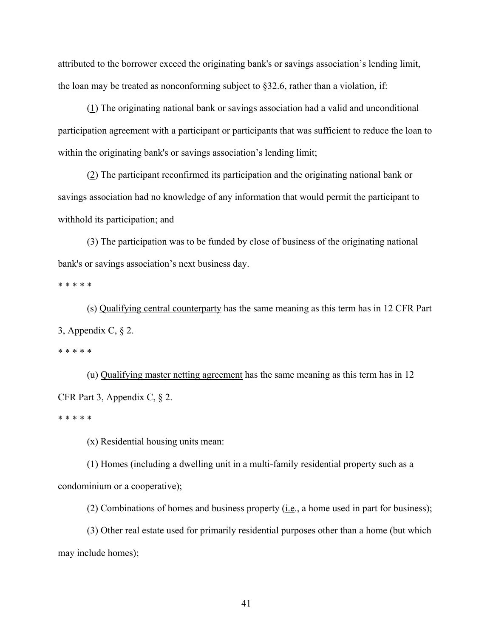attributed to the borrower exceed the originating bank's or savings association's lending limit, the loan may be treated as nonconforming subject to  $\S 32.6$ , rather than a violation, if:

(1) The originating national bank or savings association had a valid and unconditional participation agreement with a participant or participants that was sufficient to reduce the loan to within the originating bank's or savings association's lending limit;

(2) The participant reconfirmed its participation and the originating national bank or savings association had no knowledge of any information that would permit the participant to withhold its participation; and

(3) The participation was to be funded by close of business of the originating national bank's or savings association's next business day.

\* \* \* \* \*

(s) Qualifying central counterparty has the same meaning as this term has in 12 CFR Part 3, Appendix C, § 2.

\* \* \* \* \*

(u) Qualifying master netting agreement has the same meaning as this term has in 12 CFR Part 3, Appendix C, § 2.

\* \* \* \* \*

(x) Residential housing units mean:

(1) Homes (including a dwelling unit in a multi-family residential property such as a condominium or a cooperative);

(2) Combinations of homes and business property (*i.e.*, a home used in part for business);

(3) Other real estate used for primarily residential purposes other than a home (but which may include homes);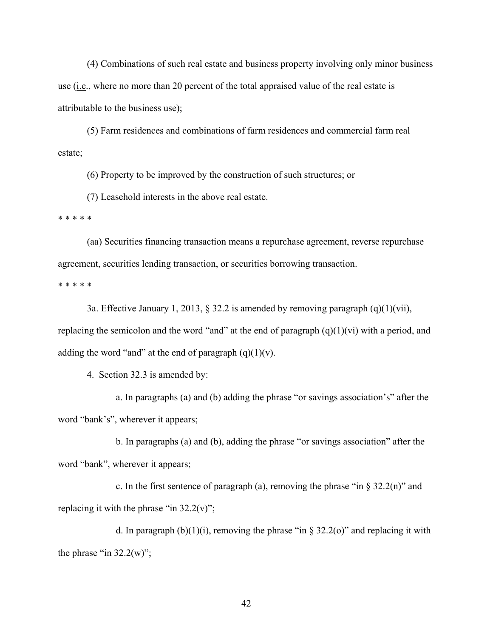(4) Combinations of such real estate and business property involving only minor business use (i.e., where no more than 20 percent of the total appraised value of the real estate is attributable to the business use);

(5) Farm residences and combinations of farm residences and commercial farm real estate;

(6) Property to be improved by the construction of such structures; or

(7) Leasehold interests in the above real estate.

\* \* \* \* \*

(aa) Securities financing transaction means a repurchase agreement, reverse repurchase agreement, securities lending transaction, or securities borrowing transaction.

\* \* \* \* \*

3a. Effective January 1, 2013, § 32.2 is amended by removing paragraph  $(q)(1)(\n{\rm vii})$ , replacing the semicolon and the word "and" at the end of paragraph  $(q)(1)(vi)$  with a period, and adding the word "and" at the end of paragraph  $(q)(1)(v)$ .

4. Section 32.3 is amended by:

a. In paragraphs (a) and (b) adding the phrase "or savings association's" after the word "bank's", wherever it appears;

b. In paragraphs (a) and (b), adding the phrase "or savings association" after the word "bank", wherever it appears;

c. In the first sentence of paragraph (a), removing the phrase "in  $\S 32.2(n)$ " and replacing it with the phrase "in  $32.2(v)$ ";

d. In paragraph  $(b)(1)(i)$ , removing the phrase "in § 32.2(o)" and replacing it with the phrase "in  $32.2(w)$ ";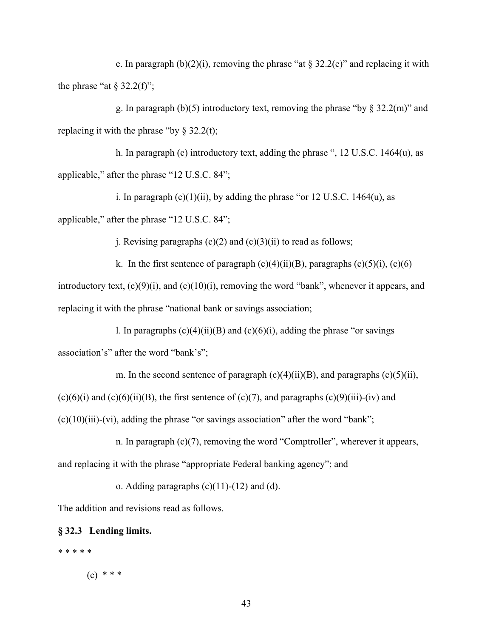e. In paragraph (b)(2)(i), removing the phrase "at  $\S 32.2$ (e)" and replacing it with the phrase "at  $\S 32.2(f)$ ";

g. In paragraph (b)(5) introductory text, removing the phrase "by  $\frac{832.2}{m}$ " and replacing it with the phrase "by  $\S 32.2(t)$ ;

h. In paragraph (c) introductory text, adding the phrase ", 12 U.S.C. 1464(u), as applicable," after the phrase "12 U.S.C. 84";

i. In paragraph  $(c)(1)(ii)$ , by adding the phrase "or 12 U.S.C. 1464 $(u)$ , as applicable," after the phrase "12 U.S.C. 84";

j. Revising paragraphs  $(c)(2)$  and  $(c)(3)(ii)$  to read as follows;

k. In the first sentence of paragraph  $(c)(4)(ii)(B)$ , paragraphs  $(c)(5)(i)$ ,  $(c)(6)$ introductory text, (c)(9)(i), and (c)(10)(i), removing the word "bank", whenever it appears, and replacing it with the phrase "national bank or savings association;

l. In paragraphs  $(c)(4)(ii)(B)$  and  $(c)(6)(i)$ , adding the phrase "or savings" association's" after the word "bank's";

m. In the second sentence of paragraph  $(c)(4)(ii)(B)$ , and paragraphs  $(c)(5)(ii)$ ,

 $(c)(6)(i)$  and  $(c)(6)(ii)(B)$ , the first sentence of  $(c)(7)$ , and paragraphs  $(c)(9)(iii)-(iv)$  and

 $(c)(10)(iii)$ -(vi), adding the phrase "or savings association" after the word "bank";

n. In paragraph (c)(7), removing the word "Comptroller", wherever it appears, and replacing it with the phrase "appropriate Federal banking agency"; and

o. Adding paragraphs  $(c)(11)-(12)$  and  $(d)$ .

The addition and revisions read as follows.

#### **§ 32.3 Lending limits.**

\* \* \* \* \*

 $(c)$  \* \* \*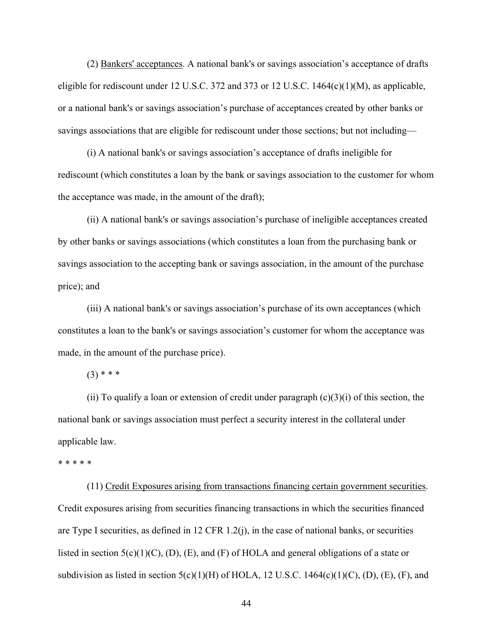(2) Bankers' acceptances. A national bank's or savings association's acceptance of drafts eligible for rediscount under 12 U.S.C. 372 and 373 or 12 U.S.C.  $1464(c)(1)(M)$ , as applicable, or a national bank's or savings association's purchase of acceptances created by other banks or savings associations that are eligible for rediscount under those sections; but not including—

(i) A national bank's or savings association's acceptance of drafts ineligible for rediscount (which constitutes a loan by the bank or savings association to the customer for whom the acceptance was made, in the amount of the draft);

(ii) A national bank's or savings association's purchase of ineligible acceptances created by other banks or savings associations (which constitutes a loan from the purchasing bank or savings association to the accepting bank or savings association, in the amount of the purchase price); and

(iii) A national bank's or savings association's purchase of its own acceptances (which constitutes a loan to the bank's or savings association's customer for whom the acceptance was made, in the amount of the purchase price).

 $(3)$  \* \* \*

(ii) To qualify a loan or extension of credit under paragraph  $(c)(3)(i)$  of this section, the national bank or savings association must perfect a security interest in the collateral under applicable law.

#### \* \* \* \* \*

(11) Credit Exposures arising from transactions financing certain government securities. Credit exposures arising from securities financing transactions in which the securities financed are Type I securities, as defined in 12 CFR 1.2(j), in the case of national banks, or securities listed in section  $5(c)(1)(C)$ ,  $(D)$ ,  $(E)$ , and  $(F)$  of HOLA and general obligations of a state or subdivision as listed in section  $5(c)(1)(H)$  of HOLA, 12 U.S.C. 1464 $(c)(1)(C)$ ,  $(D)$ ,  $(E)$ ,  $(F)$ , and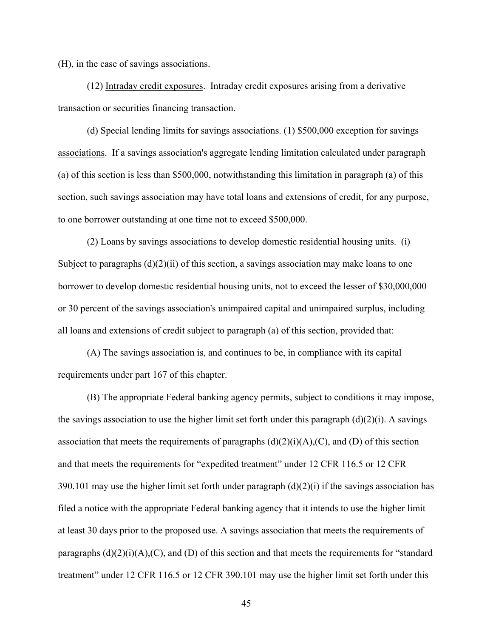(H), in the case of savings associations.

(12) Intraday credit exposures. Intraday credit exposures arising from a derivative transaction or securities financing transaction.

(d) Special lending limits for savings associations. (1) \$500,000 exception for savings associations. If a savings association's aggregate lending limitation calculated under paragraph (a) of this section is less than \$500,000, notwithstanding this limitation in paragraph (a) of this section, such savings association may have total loans and extensions of credit, for any purpose, to one borrower outstanding at one time not to exceed \$500,000.

(2) Loans by savings associations to develop domestic residential housing units. (i) Subject to paragraphs  $(d)(2)(ii)$  of this section, a savings association may make loans to one borrower to develop domestic residential housing units, not to exceed the lesser of \$30,000,000 or 30 percent of the savings association's unimpaired capital and unimpaired surplus, including all loans and extensions of credit subject to paragraph (a) of this section, provided that:

(A) The savings association is, and continues to be, in compliance with its capital requirements under part 167 of this chapter.

(B) The appropriate Federal banking agency permits, subject to conditions it may impose, the savings association to use the higher limit set forth under this paragraph  $(d)(2)(i)$ . A savings association that meets the requirements of paragraphs  $(d)(2)(i)(A)(C)$ , and  $(D)$  of this section and that meets the requirements for "expedited treatment" under 12 CFR 116.5 or 12 CFR 390.101 may use the higher limit set forth under paragraph (d)(2)(i) if the savings association has filed a notice with the appropriate Federal banking agency that it intends to use the higher limit at least 30 days prior to the proposed use. A savings association that meets the requirements of paragraphs  $(d)(2)(i)(A)(C)$ , and  $(D)$  of this section and that meets the requirements for "standard" treatment" under 12 CFR 116.5 or 12 CFR 390.101 may use the higher limit set forth under this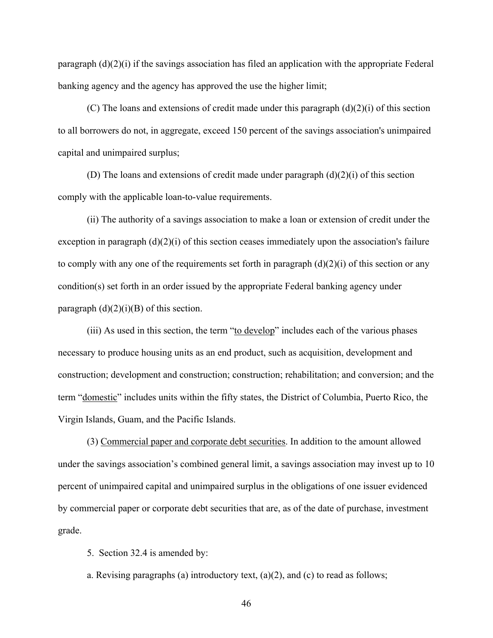paragraph  $(d)(2)(i)$  if the savings association has filed an application with the appropriate Federal banking agency and the agency has approved the use the higher limit;

(C) The loans and extensions of credit made under this paragraph  $(d)(2)(i)$  of this section to all borrowers do not, in aggregate, exceed 150 percent of the savings association's unimpaired capital and unimpaired surplus;

(D) The loans and extensions of credit made under paragraph (d)(2)(i) of this section comply with the applicable loan-to-value requirements.

(ii) The authority of a savings association to make a loan or extension of credit under the exception in paragraph  $(d)(2)(i)$  of this section ceases immediately upon the association's failure to comply with any one of the requirements set forth in paragraph  $(d)(2)(i)$  of this section or any condition(s) set forth in an order issued by the appropriate Federal banking agency under paragraph  $(d)(2)(i)(B)$  of this section.

(iii) As used in this section, the term "to develop" includes each of the various phases necessary to produce housing units as an end product, such as acquisition, development and construction; development and construction; construction; rehabilitation; and conversion; and the term "domestic" includes units within the fifty states, the District of Columbia, Puerto Rico, the Virgin Islands, Guam, and the Pacific Islands.

(3) Commercial paper and corporate debt securities. In addition to the amount allowed under the savings association's combined general limit, a savings association may invest up to 10 percent of unimpaired capital and unimpaired surplus in the obligations of one issuer evidenced by commercial paper or corporate debt securities that are, as of the date of purchase, investment grade.

5. Section 32.4 is amended by:

a. Revising paragraphs (a) introductory text,  $(a)(2)$ , and  $(c)$  to read as follows;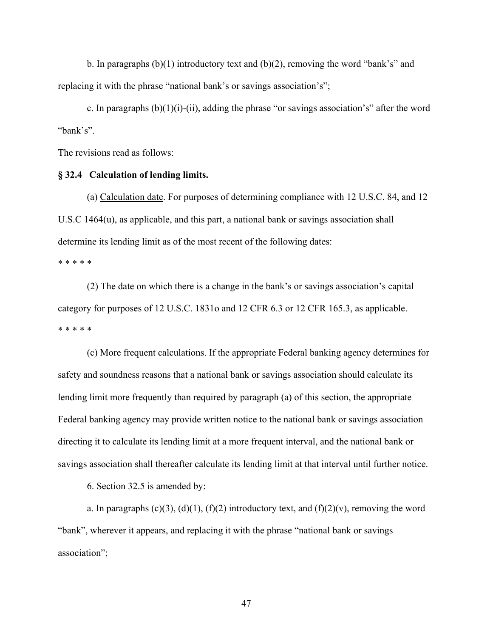b. In paragraphs  $(b)(1)$  introductory text and  $(b)(2)$ , removing the word "bank's" and replacing it with the phrase "national bank's or savings association's";

c. In paragraphs  $(b)(1)(i)-(ii)$ , adding the phrase "or savings association's" after the word "bank's".

The revisions read as follows:

#### **§ 32.4 Calculation of lending limits.**

(a) Calculation date. For purposes of determining compliance with 12 U.S.C. 84, and 12 U.S.C 1464(u), as applicable, and this part, a national bank or savings association shall determine its lending limit as of the most recent of the following dates:

\* \* \* \* \*

(2) The date on which there is a change in the bank's or savings association's capital category for purposes of 12 U.S.C. 1831o and 12 CFR 6.3 or 12 CFR 165.3, as applicable. \* \* \* \* \*

(c) More frequent calculations. If the appropriate Federal banking agency determines for safety and soundness reasons that a national bank or savings association should calculate its lending limit more frequently than required by paragraph (a) of this section, the appropriate Federal banking agency may provide written notice to the national bank or savings association directing it to calculate its lending limit at a more frequent interval, and the national bank or savings association shall thereafter calculate its lending limit at that interval until further notice.

6. Section 32.5 is amended by:

a. In paragraphs  $(c)(3)$ ,  $(d)(1)$ ,  $(f)(2)$  introductory text, and  $(f)(2)(v)$ , removing the word "bank", wherever it appears, and replacing it with the phrase "national bank or savings association";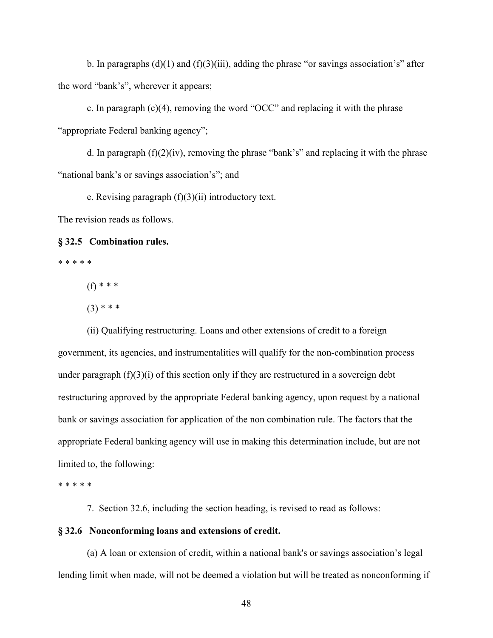b. In paragraphs  $(d)(1)$  and  $(f)(3)(iii)$ , adding the phrase "or savings association's" after the word "bank's", wherever it appears;

c. In paragraph  $(c)(4)$ , removing the word "OCC" and replacing it with the phrase "appropriate Federal banking agency";

d. In paragraph  $(f)(2)(iv)$ , removing the phrase "bank's" and replacing it with the phrase "national bank's or savings association's"; and

e. Revising paragraph  $(f)(3)(ii)$  introductory text.

The revision reads as follows.

#### **§ 32.5 Combination rules.**

\* \* \* \* \*

(f) \* \* \*

 $(3)$  \* \* \*

(ii) Qualifying restructuring. Loans and other extensions of credit to a foreign government, its agencies, and instrumentalities will qualify for the non-combination process under paragraph  $(f)(3)(i)$  of this section only if they are restructured in a sovereign debt restructuring approved by the appropriate Federal banking agency, upon request by a national bank or savings association for application of the non combination rule. The factors that the appropriate Federal banking agency will use in making this determination include, but are not limited to, the following:

\* \* \* \* \*

7. Section 32.6, including the section heading, is revised to read as follows:

#### **§ 32.6 Nonconforming loans and extensions of credit.**

(a) A loan or extension of credit, within a national bank's or savings association's legal lending limit when made, will not be deemed a violation but will be treated as nonconforming if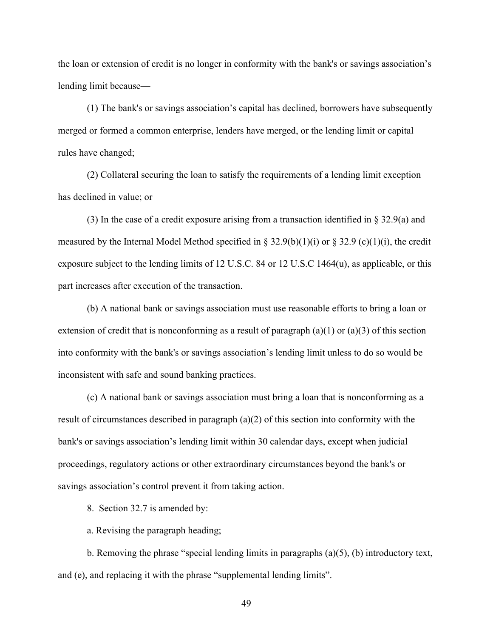the loan or extension of credit is no longer in conformity with the bank's or savings association's lending limit because—

(1) The bank's or savings association's capital has declined, borrowers have subsequently merged or formed a common enterprise, lenders have merged, or the lending limit or capital rules have changed;

(2) Collateral securing the loan to satisfy the requirements of a lending limit exception has declined in value; or

(3) In the case of a credit exposure arising from a transaction identified in § 32.9(a) and measured by the Internal Model Method specified in § 32.9(b)(1)(i) or § 32.9 (c)(1)(i), the credit exposure subject to the lending limits of 12 U.S.C. 84 or 12 U.S.C 1464(u), as applicable, or this part increases after execution of the transaction.

(b) A national bank or savings association must use reasonable efforts to bring a loan or extension of credit that is nonconforming as a result of paragraph  $(a)(1)$  or  $(a)(3)$  of this section into conformity with the bank's or savings association's lending limit unless to do so would be inconsistent with safe and sound banking practices.

(c) A national bank or savings association must bring a loan that is nonconforming as a result of circumstances described in paragraph  $(a)(2)$  of this section into conformity with the bank's or savings association's lending limit within 30 calendar days, except when judicial proceedings, regulatory actions or other extraordinary circumstances beyond the bank's or savings association's control prevent it from taking action.

8. Section 32.7 is amended by:

a. Revising the paragraph heading;

b. Removing the phrase "special lending limits in paragraphs  $(a)(5)$ ,  $(b)$  introductory text, and (e), and replacing it with the phrase "supplemental lending limits".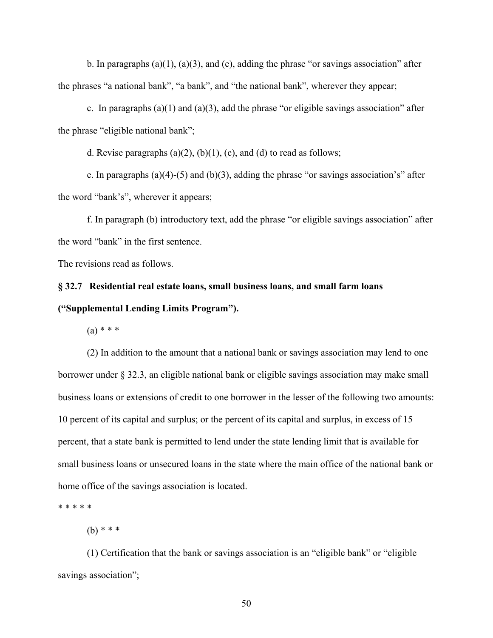b. In paragraphs  $(a)(1)$ ,  $(a)(3)$ , and  $(e)$ , adding the phrase "or savings association" after the phrases "a national bank", "a bank", and "the national bank", wherever they appear;

c. In paragraphs (a)(1) and (a)(3), add the phrase "or eligible savings association" after the phrase "eligible national bank";

d. Revise paragraphs (a) $(2)$ , (b) $(1)$ , (c), and (d) to read as follows;

e. In paragraphs (a)(4)-(5) and (b)(3), adding the phrase "or savings association's" after the word "bank's", wherever it appears;

f. In paragraph (b) introductory text, add the phrase "or eligible savings association" after the word "bank" in the first sentence.

The revisions read as follows.

# **§ 32.7 Residential real estate loans, small business loans, and small farm loans ("Supplemental Lending Limits Program").**

 $(a) * * * *$ 

(2) In addition to the amount that a national bank or savings association may lend to one borrower under § 32.3, an eligible national bank or eligible savings association may make small business loans or extensions of credit to one borrower in the lesser of the following two amounts: 10 percent of its capital and surplus; or the percent of its capital and surplus, in excess of 15 percent, that a state bank is permitted to lend under the state lending limit that is available for small business loans or unsecured loans in the state where the main office of the national bank or home office of the savings association is located.

\* \* \* \* \*

 $(h)$  \* \* \*

(1) Certification that the bank or savings association is an "eligible bank" or "eligible savings association";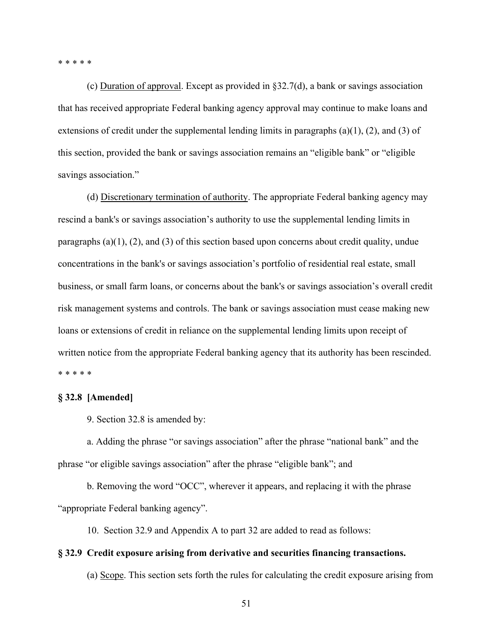\* \* \* \* \*

(c) Duration of approval. Except as provided in §32.7(d), a bank or savings association that has received appropriate Federal banking agency approval may continue to make loans and extensions of credit under the supplemental lending limits in paragraphs (a)(1), (2), and (3) of this section, provided the bank or savings association remains an "eligible bank" or "eligible savings association."

(d) Discretionary termination of authority. The appropriate Federal banking agency may rescind a bank's or savings association's authority to use the supplemental lending limits in paragraphs (a)(1), (2), and (3) of this section based upon concerns about credit quality, undue concentrations in the bank's or savings association's portfolio of residential real estate, small business, or small farm loans, or concerns about the bank's or savings association's overall credit risk management systems and controls. The bank or savings association must cease making new loans or extensions of credit in reliance on the supplemental lending limits upon receipt of written notice from the appropriate Federal banking agency that its authority has been rescinded. \* \* \* \* \*

#### **§ 32.8 [Amended]**

9. Section 32.8 is amended by:

a. Adding the phrase "or savings association" after the phrase "national bank" and the phrase "or eligible savings association" after the phrase "eligible bank"; and

b. Removing the word "OCC", wherever it appears, and replacing it with the phrase "appropriate Federal banking agency".

10. Section 32.9 and Appendix A to part 32 are added to read as follows:

#### **§ 32.9 Credit exposure arising from derivative and securities financing transactions.**

(a) Scope. This section sets forth the rules for calculating the credit exposure arising from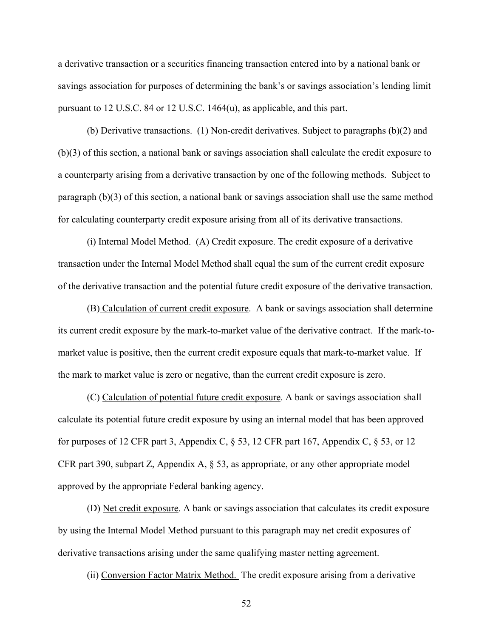a derivative transaction or a securities financing transaction entered into by a national bank or savings association for purposes of determining the bank's or savings association's lending limit pursuant to 12 U.S.C. 84 or 12 U.S.C. 1464(u), as applicable, and this part.

(b) Derivative transactions. (1) Non-credit derivatives. Subject to paragraphs (b)(2) and (b)(3) of this section, a national bank or savings association shall calculate the credit exposure to a counterparty arising from a derivative transaction by one of the following methods. Subject to paragraph (b)(3) of this section, a national bank or savings association shall use the same method for calculating counterparty credit exposure arising from all of its derivative transactions.

(i) Internal Model Method. (A) Credit exposure. The credit exposure of a derivative transaction under the Internal Model Method shall equal the sum of the current credit exposure of the derivative transaction and the potential future credit exposure of the derivative transaction.

(B) Calculation of current credit exposure. A bank or savings association shall determine its current credit exposure by the mark-to-market value of the derivative contract. If the mark-tomarket value is positive, then the current credit exposure equals that mark-to-market value. If the mark to market value is zero or negative, than the current credit exposure is zero.

(C) Calculation of potential future credit exposure. A bank or savings association shall calculate its potential future credit exposure by using an internal model that has been approved for purposes of 12 CFR part 3, Appendix C, § 53, 12 CFR part 167, Appendix C, § 53, or 12 CFR part 390, subpart Z, Appendix A, § 53, as appropriate, or any other appropriate model approved by the appropriate Federal banking agency.

(D) Net credit exposure. A bank or savings association that calculates its credit exposure by using the Internal Model Method pursuant to this paragraph may net credit exposures of derivative transactions arising under the same qualifying master netting agreement.

(ii) Conversion Factor Matrix Method. The credit exposure arising from a derivative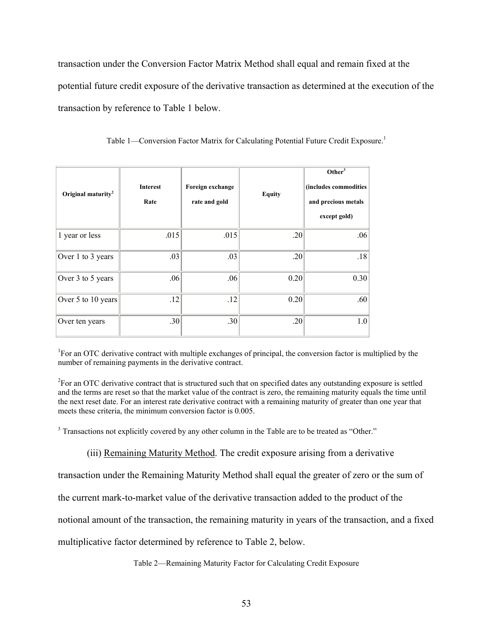transaction under the Conversion Factor Matrix Method shall equal and remain fixed at the potential future credit exposure of the derivative transaction as determined at the execution of the transaction by reference to Table 1 below.

| Original maturity <sup>2</sup> | <b>Interest</b><br>Rate | Foreign exchange<br>rate and gold | <b>Equity</b> | Other $3$<br>(includes commodities<br>and precious metals<br>except gold) |
|--------------------------------|-------------------------|-----------------------------------|---------------|---------------------------------------------------------------------------|
| 1 year or less                 | .015                    | .015                              | .20           | .06                                                                       |
| Over 1 to 3 years              | .03                     | .03                               | .20           | .18                                                                       |
| Over 3 to 5 years              | .06                     | .06                               | 0.20          | 0.30                                                                      |
| Over 5 to 10 years             | .12                     | .12                               | 0.20          | .60                                                                       |
| Over ten years                 | .30 <sub>l</sub>        | .30                               | .20           | 1.0                                                                       |

Table 1—Conversion Factor Matrix for Calculating Potential Future Credit Exposure.<sup>1</sup>

<sup>1</sup>For an OTC derivative contract with multiple exchanges of principal, the conversion factor is multiplied by the number of remaining payments in the derivative contract.

 the next reset date. For an interest rate derivative contract with a remaining maturity of greater than one year that  ${}^{2}$ For an OTC derivative contract that is structured such that on specified dates any outstanding exposure is settled and the terms are reset so that the market value of the contract is zero, the remaining maturity equals the time until meets these criteria, the minimum conversion factor is 0.005.

 $3$  Transactions not explicitly covered by any other column in the Table are to be treated as "Other."

(iii) Remaining Maturity Method. The credit exposure arising from a derivative

transaction under the Remaining Maturity Method shall equal the greater of zero or the sum of

the current mark-to-market value of the derivative transaction added to the product of the

notional amount of the transaction, the remaining maturity in years of the transaction, and a fixed

multiplicative factor determined by reference to Table 2, below.

Table 2—Remaining Maturity Factor for Calculating Credit Exposure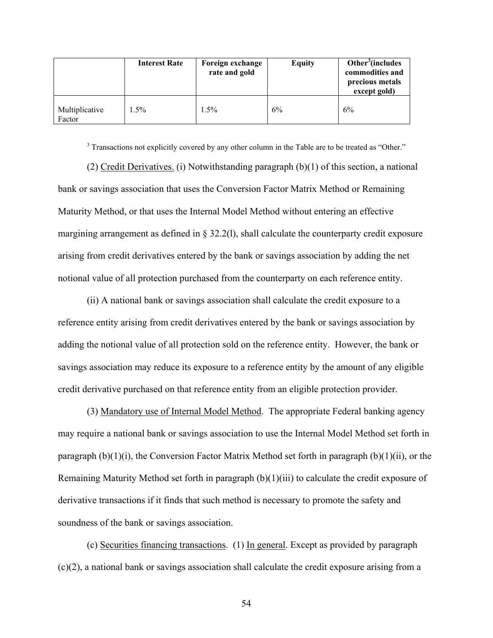|                          | <b>Interest Rate</b> | Foreign exchange<br>rate and gold | <b>Equity</b> | Other <sup>3</sup> (includes<br>commodities and<br>precious metals<br>except gold) |
|--------------------------|----------------------|-----------------------------------|---------------|------------------------------------------------------------------------------------|
| Multiplicative<br>Factor | 1.5%                 | $1.5\%$                           | 6%            | 6%                                                                                 |

 $3$  Transactions not explicitly covered by any other column in the Table are to be treated as "Other."

(2) Credit Derivatives. (i) Notwithstanding paragraph (b)(1) of this section, a national bank or savings association that uses the Conversion Factor Matrix Method or Remaining Maturity Method, or that uses the Internal Model Method without entering an effective margining arrangement as defined in § 32.2(l), shall calculate the counterparty credit exposure arising from credit derivatives entered by the bank or savings association by adding the net notional value of all protection purchased from the counterparty on each reference entity.

(ii) A national bank or savings association shall calculate the credit exposure to a reference entity arising from credit derivatives entered by the bank or savings association by adding the notional value of all protection sold on the reference entity. However, the bank or savings association may reduce its exposure to a reference entity by the amount of any eligible credit derivative purchased on that reference entity from an eligible protection provider.

(3) Mandatory use of Internal Model Method. The appropriate Federal banking agency may require a national bank or savings association to use the Internal Model Method set forth in paragraph  $(b)(1)(i)$ , the Conversion Factor Matrix Method set forth in paragraph  $(b)(1)(ii)$ , or the Remaining Maturity Method set forth in paragraph (b)(1)(iii) to calculate the credit exposure of derivative transactions if it finds that such method is necessary to promote the safety and soundness of the bank or savings association.

(c) Securities financing transactions. (1) In general. Except as provided by paragraph (c)(2), a national bank or savings association shall calculate the credit exposure arising from a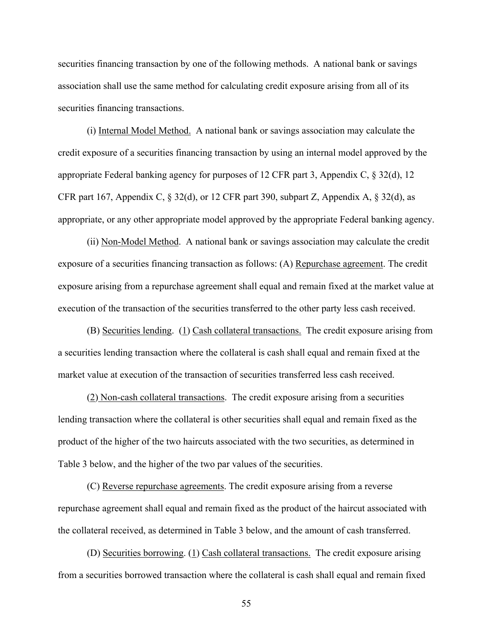securities financing transaction by one of the following methods. A national bank or savings association shall use the same method for calculating credit exposure arising from all of its securities financing transactions.

(i) Internal Model Method. A national bank or savings association may calculate the credit exposure of a securities financing transaction by using an internal model approved by the appropriate Federal banking agency for purposes of 12 CFR part 3, Appendix C, § 32(d), 12 CFR part 167, Appendix C, § 32(d), or 12 CFR part 390, subpart Z, Appendix A, § 32(d), as appropriate, or any other appropriate model approved by the appropriate Federal banking agency.

(ii) Non-Model Method. A national bank or savings association may calculate the credit exposure of a securities financing transaction as follows: (A) Repurchase agreement. The credit exposure arising from a repurchase agreement shall equal and remain fixed at the market value at execution of the transaction of the securities transferred to the other party less cash received.

(B) Securities lending. (1) Cash collateral transactions. The credit exposure arising from a securities lending transaction where the collateral is cash shall equal and remain fixed at the market value at execution of the transaction of securities transferred less cash received.

(2) Non-cash collateral transactions. The credit exposure arising from a securities lending transaction where the collateral is other securities shall equal and remain fixed as the product of the higher of the two haircuts associated with the two securities, as determined in Table 3 below, and the higher of the two par values of the securities.

(C) Reverse repurchase agreements. The credit exposure arising from a reverse repurchase agreement shall equal and remain fixed as the product of the haircut associated with the collateral received, as determined in Table 3 below, and the amount of cash transferred.

(D) Securities borrowing. (1) Cash collateral transactions. The credit exposure arising from a securities borrowed transaction where the collateral is cash shall equal and remain fixed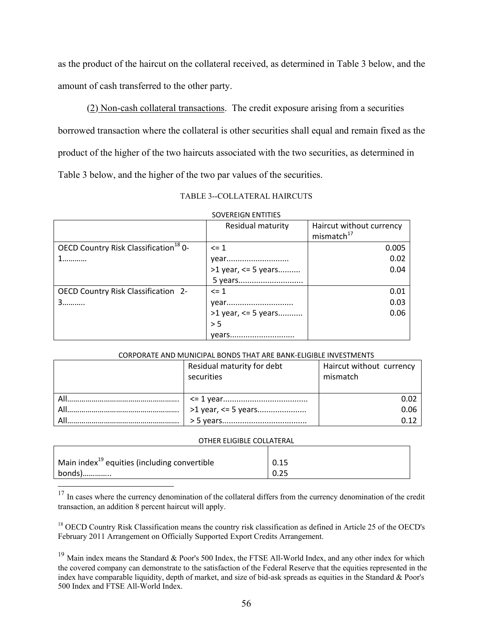as the product of the haircut on the collateral received, as determined in Table 3 below, and the amount of cash transferred to the other party.

(2) Non-cash collateral transactions. The credit exposure arising from a securities borrowed transaction where the collateral is other securities shall equal and remain fixed as the product of the higher of the two haircuts associated with the two securities, as determined in Table 3 below, and the higher of the two par values of the securities.

TABLE 3--COLLATERAL HAIRCUTS

|                                                   | Residual maturity         | Haircut without currency<br>mismatch <sup>17</sup> |
|---------------------------------------------------|---------------------------|----------------------------------------------------|
| OECD Country Risk Classification <sup>18</sup> 0- | $\leq 1$                  | 0.005                                              |
|                                                   | year                      | 0.02                                               |
|                                                   | $>1$ year, $\leq 5$ years | 0.04                                               |
|                                                   |                           |                                                    |
| OECD Country Risk Classification 2-               | $\leq$ 1                  | 0.01                                               |
| 3                                                 | year                      | 0.03                                               |
|                                                   | $>1$ year, <= 5 years     | 0.06                                               |
|                                                   | > 5                       |                                                    |
|                                                   | vears                     |                                                    |

#### SOVEREIGN ENTITIES

#### CORPORATE AND MUNICIPAL BONDS THAT ARE BANK‐ELIGIBLE INVESTMENTS

| Residual maturity for debt<br>securities | Haircut without currency<br>mismatch |
|------------------------------------------|--------------------------------------|
|                                          |                                      |
|                                          | 0.06                                 |
|                                          | ก 1ว                                 |

#### OTHER ELIGIBLE COLLATERAL

| Main index <sup>19</sup> equities (including convertible | 0.15 |
|----------------------------------------------------------|------|
| bonds)                                                   | 0.25 |

 $\overline{a}$ 

 $17$  In cases where the currency denomination of the collateral differs from the currency denomination of the credit transaction, an addition 8 percent haircut will apply.

<sup>18</sup> OECD Country Risk Classification means the country risk classification as defined in Article 25 of the OECD's February 2011 Arrangement on Officially Supported Export Credits Arrangement.

<sup>19</sup> Main index means the Standard & Poor's 500 Index, the FTSE All-World Index, and any other index for which the covered company can demonstrate to the satisfaction of the Federal Reserve that the equities represented in the index have comparable liquidity, depth of market, and size of bid-ask spreads as equities in the Standard & Poor's 500 Index and FTSE All-World Index.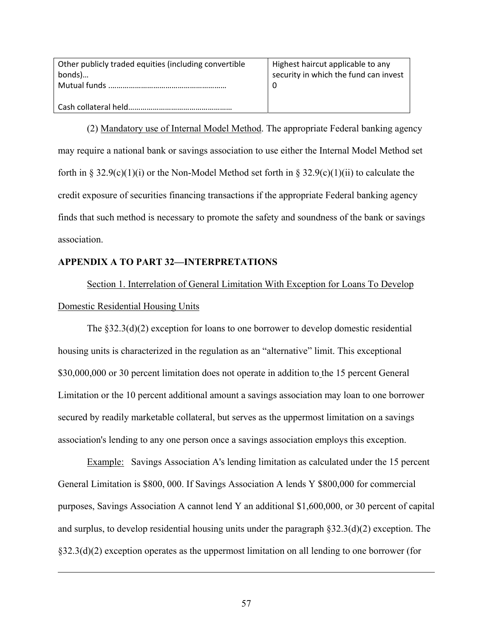| Other publicly traded equities (including convertible<br>bonds) | Highest haircut applicable to any<br>security in which the fund can invest |
|-----------------------------------------------------------------|----------------------------------------------------------------------------|
|                                                                 |                                                                            |

(2) Mandatory use of Internal Model Method. The appropriate Federal banking agency may require a national bank or savings association to use either the Internal Model Method set forth in § 32.9(c)(1)(i) or the Non-Model Method set forth in § 32.9(c)(1)(ii) to calculate the credit exposure of securities financing transactions if the appropriate Federal banking agency finds that such method is necessary to promote the safety and soundness of the bank or savings association.

# **APPENDIX A TO PART 32—INTERPRETATIONS**

 $\overline{a}$ 

Section 1. Interrelation of General Limitation With Exception for Loans To Develop Domestic Residential Housing Units

The  $\S 32.3(d)(2)$  exception for loans to one borrower to develop domestic residential housing units is characterized in the regulation as an "alternative" limit. This exceptional \$30,000,000 or 30 percent limitation does not operate in addition to the 15 percent General Limitation or the 10 percent additional amount a savings association may loan to one borrower secured by readily marketable collateral, but serves as the uppermost limitation on a savings association's lending to any one person once a savings association employs this exception.

Example: Savings Association A's lending limitation as calculated under the 15 percent General Limitation is \$800, 000. If Savings Association A lends Y \$800,000 for commercial purposes, Savings Association A cannot lend Y an additional \$1,600,000, or 30 percent of capital and surplus, to develop residential housing units under the paragraph  $\S 32.3(d)(2)$  exception. The §32.3(d)(2) exception operates as the uppermost limitation on all lending to one borrower (for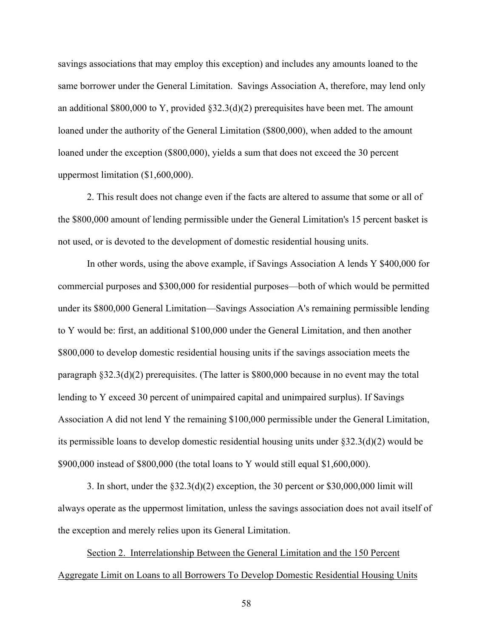savings associations that may employ this exception) and includes any amounts loaned to the same borrower under the General Limitation. Savings Association A, therefore, may lend only an additional \$800,000 to Y, provided §32.3(d)(2) prerequisites have been met. The amount loaned under the authority of the General Limitation (\$800,000), when added to the amount loaned under the exception (\$800,000), yields a sum that does not exceed the 30 percent uppermost limitation (\$1,600,000).

2. This result does not change even if the facts are altered to assume that some or all of the \$800,000 amount of lending permissible under the General Limitation's 15 percent basket is not used, or is devoted to the development of domestic residential housing units.

In other words, using the above example, if Savings Association A lends Y \$400,000 for commercial purposes and \$300,000 for residential purposes—both of which would be permitted under its \$800,000 General Limitation—Savings Association A's remaining permissible lending to Y would be: first, an additional \$100,000 under the General Limitation, and then another \$800,000 to develop domestic residential housing units if the savings association meets the paragraph §32.3(d)(2) prerequisites. (The latter is \$800,000 because in no event may the total lending to Y exceed 30 percent of unimpaired capital and unimpaired surplus). If Savings Association A did not lend Y the remaining \$100,000 permissible under the General Limitation, its permissible loans to develop domestic residential housing units under §32.3(d)(2) would be \$900,000 instead of \$800,000 (the total loans to Y would still equal \$1,600,000).

3. In short, under the §32.3(d)(2) exception, the 30 percent or \$30,000,000 limit will always operate as the uppermost limitation, unless the savings association does not avail itself of the exception and merely relies upon its General Limitation.

Section 2. Interrelationship Between the General Limitation and the 150 Percent Aggregate Limit on Loans to all Borrowers To Develop Domestic Residential Housing Units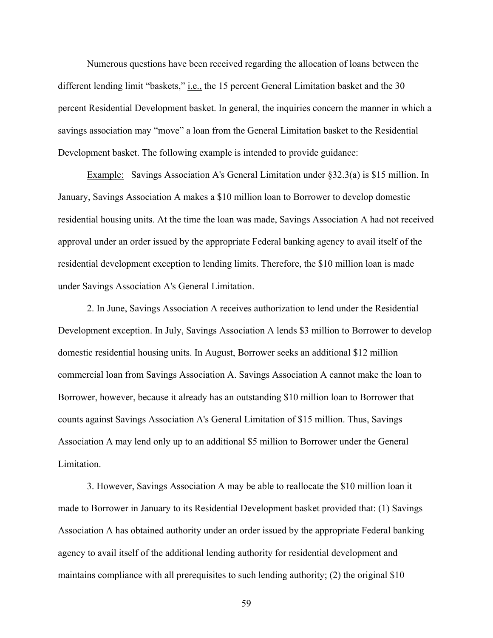Numerous questions have been received regarding the allocation of loans between the different lending limit "baskets," i.e., the 15 percent General Limitation basket and the 30 percent Residential Development basket. In general, the inquiries concern the manner in which a savings association may "move" a loan from the General Limitation basket to the Residential Development basket. The following example is intended to provide guidance:

Example: Savings Association A's General Limitation under §32.3(a) is \$15 million. In January, Savings Association A makes a \$10 million loan to Borrower to develop domestic residential housing units. At the time the loan was made, Savings Association A had not received approval under an order issued by the appropriate Federal banking agency to avail itself of the residential development exception to lending limits. Therefore, the \$10 million loan is made under Savings Association A's General Limitation.

2. In June, Savings Association A receives authorization to lend under the Residential Development exception. In July, Savings Association A lends \$3 million to Borrower to develop domestic residential housing units. In August, Borrower seeks an additional \$12 million commercial loan from Savings Association A. Savings Association A cannot make the loan to Borrower, however, because it already has an outstanding \$10 million loan to Borrower that counts against Savings Association A's General Limitation of \$15 million. Thus, Savings Association A may lend only up to an additional \$5 million to Borrower under the General Limitation.

3. However, Savings Association A may be able to reallocate the \$10 million loan it made to Borrower in January to its Residential Development basket provided that: (1) Savings Association A has obtained authority under an order issued by the appropriate Federal banking agency to avail itself of the additional lending authority for residential development and maintains compliance with all prerequisites to such lending authority; (2) the original \$10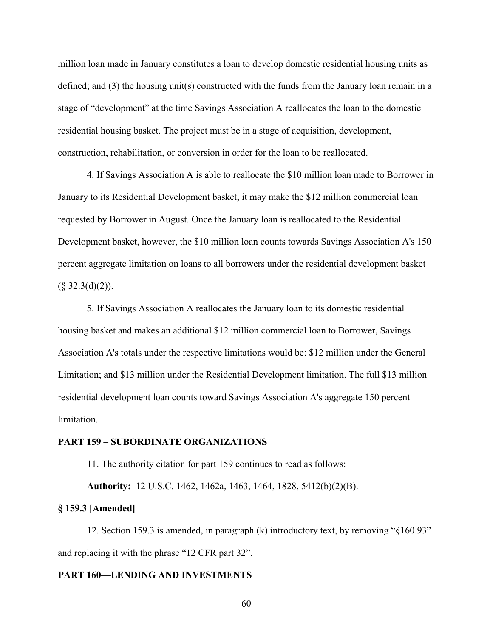million loan made in January constitutes a loan to develop domestic residential housing units as defined; and (3) the housing unit(s) constructed with the funds from the January loan remain in a stage of "development" at the time Savings Association A reallocates the loan to the domestic residential housing basket. The project must be in a stage of acquisition, development, construction, rehabilitation, or conversion in order for the loan to be reallocated.

4. If Savings Association A is able to reallocate the \$10 million loan made to Borrower in January to its Residential Development basket, it may make the \$12 million commercial loan requested by Borrower in August. Once the January loan is reallocated to the Residential Development basket, however, the \$10 million loan counts towards Savings Association A's 150 percent aggregate limitation on loans to all borrowers under the residential development basket  $(\S$  32.3(d)(2)).

 limitation. 5. If Savings Association A reallocates the January loan to its domestic residential housing basket and makes an additional \$12 million commercial loan to Borrower, Savings Association A's totals under the respective limitations would be: \$12 million under the General Limitation; and \$13 million under the Residential Development limitation. The full \$13 million residential development loan counts toward Savings Association A's aggregate 150 percent

#### **PART 159 – SUBORDINATE ORGANIZATIONS**

11. The authority citation for part 159 continues to read as follows:

**Authority:** 12 U.S.C. 1462, 1462a, 1463, 1464, 1828, 5412(b)(2)(B).

#### **§ 159.3 [Amended]**

12. Section 159.3 is amended, in paragraph (k) introductory text, by removing "§160.93" and replacing it with the phrase "12 CFR part 32".

#### **PART 160—LENDING AND INVESTMENTS**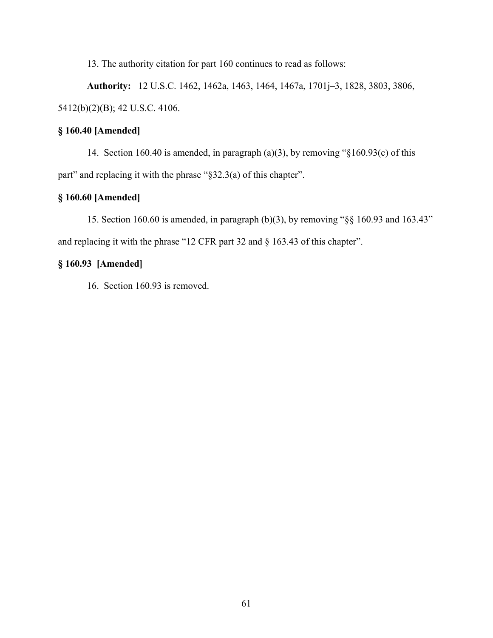13. The authority citation for part 160 continues to read as follows:

**Authority:** 12 U.S.C. 1462, 1462a, 1463, 1464, 1467a, 1701j–3, 1828, 3803, 3806, 5412(b)(2)(B); 42 U.S.C. 4106.

# **§ 160.40 [Amended]**

14. Section 160.40 is amended, in paragraph (a)(3), by removing "§160.93(c) of this part" and replacing it with the phrase "§32.3(a) of this chapter".

# **§ 160.60 [Amended]**

15. Section 160.60 is amended, in paragraph (b)(3), by removing "§§ 160.93 and 163.43" and replacing it with the phrase "12 CFR part 32 and § 163.43 of this chapter".

# **§ 160.93 [Amended]**

16. Section 160.93 is removed.